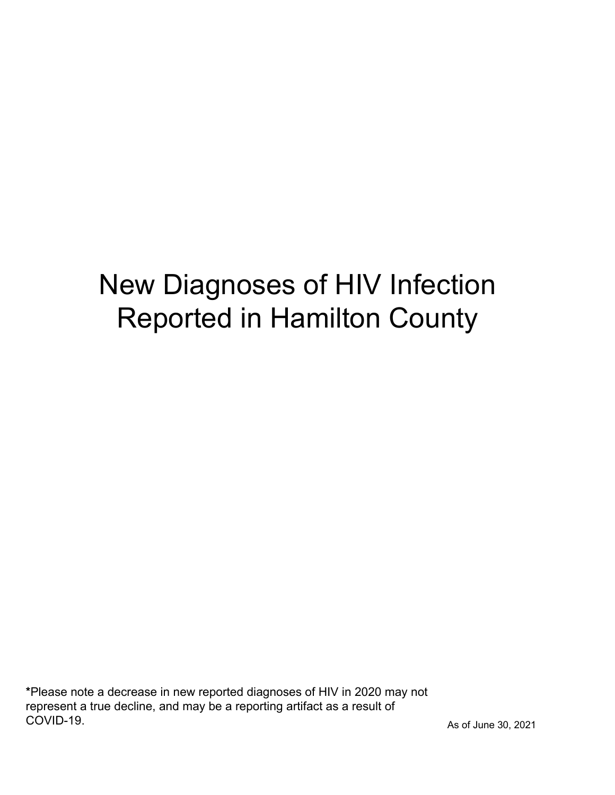# New Diagnoses of HIV Infection Reported in Hamilton County

\*Please note a decrease in new reported diagnoses of HIV in 2020 may not represent a true decline, and may be a reporting artifact as a result of COVID-19.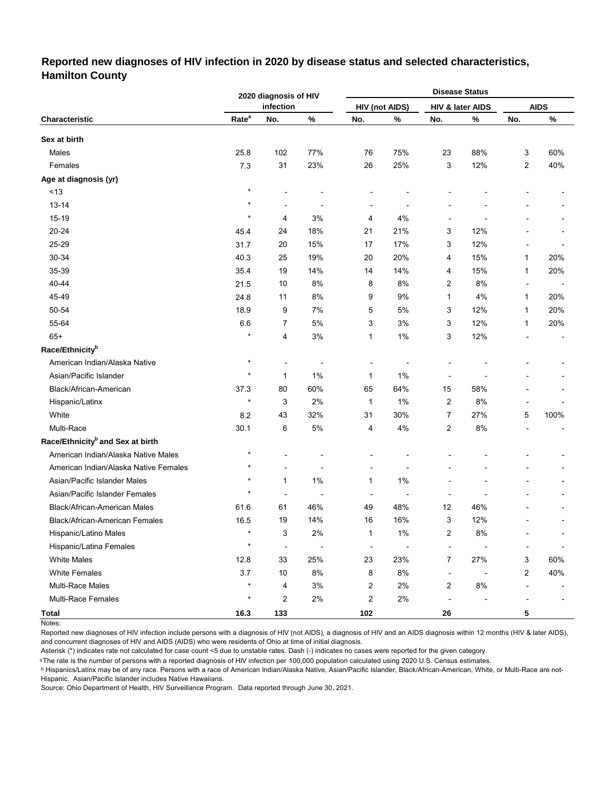### **Reported new diagnoses of HIV infection in 2020 by disease status and selected characteristics, Hamilton County**

|                                              |                   | 2020 diagnosis of HIV    |                |                          |                          | <b>Disease Status</b>    |                  |                          |             |
|----------------------------------------------|-------------------|--------------------------|----------------|--------------------------|--------------------------|--------------------------|------------------|--------------------------|-------------|
|                                              |                   | infection                |                |                          | <b>HIV (not AIDS)</b>    |                          | HIV & later AIDS |                          | <b>AIDS</b> |
| Characteristic                               | Rate <sup>a</sup> | No.                      | $\%$           | No.                      | $\%$                     | No.                      | $\%$             | No.                      | $\%$        |
| Sex at birth                                 |                   |                          |                |                          |                          |                          |                  |                          |             |
| Males                                        | 25.8              | 102                      | 77%            | 76                       | 75%                      | 23                       | 88%              | 3                        | 60%         |
| Females                                      | 7.3               | 31                       | 23%            | 26                       | 25%                      | 3                        | 12%              | 2                        | 40%         |
| Age at diagnosis (yr)                        |                   |                          |                |                          |                          |                          |                  |                          |             |
| $<13$                                        | $\star$           |                          |                |                          |                          |                          |                  |                          |             |
| $13 - 14$                                    | $\star$           | L,                       | $\overline{a}$ | ٠                        | ÷                        |                          |                  |                          |             |
| 15-19                                        | $\star$           | 4                        | 3%             | 4                        | 4%                       | $\overline{a}$           |                  |                          |             |
| 20-24                                        | 45.4              | 24                       | 18%            | 21                       | 21%                      | 3                        | 12%              |                          |             |
| 25-29                                        | 31.7              | 20                       | 15%            | 17                       | 17%                      | 3                        | 12%              |                          |             |
| 30-34                                        | 40.3              | 25                       | 19%            | 20                       | 20%                      | 4                        | 15%              | 1                        | 20%         |
| 35-39                                        | 35.4              | 19                       | 14%            | 14                       | 14%                      | 4                        | 15%              | 1                        | 20%         |
| 40-44                                        | 21.5              | 10                       | 8%             | 8                        | 8%                       | $\overline{2}$           | 8%               | $\overline{\phantom{a}}$ |             |
| 45-49                                        | 24.8              | 11                       | 8%             | 9                        | 9%                       | $\mathbf{1}$             | 4%               | 1                        | 20%         |
| 50-54                                        | 18.9              | 9                        | 7%             | 5                        | 5%                       | 3                        | 12%              | 1                        | 20%         |
| 55-64                                        | 6.6               | 7                        | 5%             | 3                        | 3%                       | 3                        | 12%              | 1                        | 20%         |
| $65+$                                        | $\star$           | 4                        | 3%             | 1                        | 1%                       | 3                        | 12%              |                          |             |
| Race/Ethnicity <sup>b</sup>                  |                   |                          |                |                          |                          |                          |                  |                          |             |
| American Indian/Alaska Native                | $\star$           | ٠                        | $\overline{a}$ | $\overline{a}$           | ÷                        |                          |                  |                          |             |
| Asian/Pacific Islander                       | $\star$           | $\mathbf{1}$             | 1%             | 1                        | 1%                       | ÷                        |                  |                          |             |
| Black/African-American                       | 37.3              | 80                       | 60%            | 65                       | 64%                      | 15                       | 58%              |                          |             |
| Hispanic/Latinx                              | $\star$           | 3                        | 2%             | $\mathbf{1}$             | 1%                       | 2                        | 8%               |                          |             |
| White                                        | 8.2               | 43                       | 32%            | 31                       | 30%                      | $\overline{7}$           | 27%              | 5                        | 100%        |
| Multi-Race                                   | 30.1              | 6                        | 5%             | 4                        | 4%                       | $\overline{2}$           | 8%               |                          |             |
| Race/Ethnicity <sup>b</sup> and Sex at birth |                   |                          |                |                          |                          |                          |                  |                          |             |
| American Indian/Alaska Native Males          | $^\star$          |                          |                |                          |                          |                          |                  |                          |             |
| American Indian/Alaska Native Females        | $\star$           | ÷                        |                | L,                       | Ē,                       |                          |                  |                          |             |
| Asian/Pacific Islander Males                 | $\star$           | $\mathbf{1}$             | 1%             | 1                        | 1%                       |                          |                  |                          |             |
| Asian/Pacific Islander Females               | $\star$           | ÷                        | ÷              | ÷                        | $\overline{\phantom{a}}$ |                          |                  |                          |             |
| <b>Black/African-American Males</b>          | 61.6              | 61                       | 46%            | 49                       | 48%                      | 12                       | 46%              |                          |             |
| Black/African-American Females               | 16.5              | 19                       | 14%            | 16                       | 16%                      | 3                        | 12%              |                          |             |
| Hispanic/Latino Males                        | $\star$           | 3                        | 2%             | 1                        | 1%                       | $\overline{2}$           | 8%               |                          |             |
| Hispanic/Latina Females                      | $\star$           | $\overline{\phantom{a}}$ | $\overline{a}$ | $\overline{\phantom{a}}$ | $\overline{a}$           | $\blacksquare$           |                  |                          |             |
| <b>White Males</b>                           | 12.8              | 33                       | 25%            | 23                       | 23%                      | $\overline{7}$           | 27%              | 3                        | 60%         |
| <b>White Females</b>                         | 3.7               | $10\,$                   | 8%             | 8                        | $8%$                     | $\overline{\phantom{a}}$ |                  | 2                        | 40%         |
| Multi-Race Males                             | $\star$           | 4                        | $3%$           | $\overline{\mathbf{c}}$  | 2%                       | $\overline{c}$           | $8\%$            | ÷                        |             |
| Multi-Race Females                           | $\ast$            | 2                        | 2%             | $\overline{\mathbf{c}}$  | 2%                       | ÷,                       |                  |                          |             |
| <b>Total</b>                                 | 16.3              | 133                      |                | 102                      |                          | 26                       |                  | 5                        |             |

Notes:

Reported new diagnoses of HIV infection include persons with a diagnosis of HIV (not AIDS), a diagnosis of HIV and an AIDS diagnosis within 12 months (HIV & later AIDS), and concurrent diagnoses of HIV and AIDS (AIDS) who were residents of Ohio at time of initial diagnosis.

Asterisk (\*) indicates rate not calculated for case count <5 due to unstable rates. Dash (-) indicates no cases were reported for the given category.

<sup>a</sup>The rate is the number of persons with a reported diagnosis of HIV infection per 100,000 population calculated using 2020 U.S. Census estimates.

ᵇ Hispanics/Latinx may be of any race. Persons with a race of American Indian/Alaska Native, Asian/Pacific Islander, Black/African-American, White, or Multi-Race are not-Hispanic. Asian/Pacific Islander includes Native Hawaiians.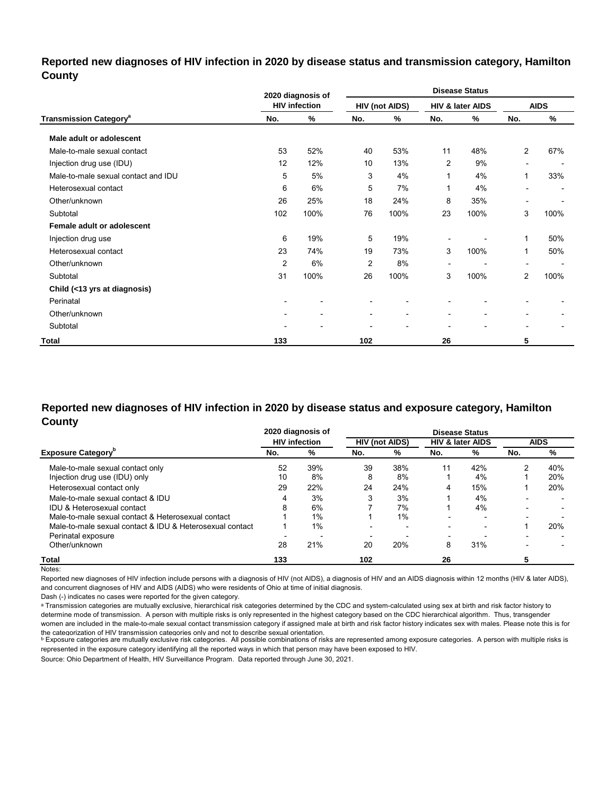### **Reported new diagnoses of HIV infection in 2020 by disease status and transmission category, Hamilton County**

|                                          |                          | 2020 diagnosis of        |                          |                              |                          | <b>Disease Status</b>    |                          |             |
|------------------------------------------|--------------------------|--------------------------|--------------------------|------------------------------|--------------------------|--------------------------|--------------------------|-------------|
|                                          |                          | <b>HIV infection</b>     |                          | <b>HIV (not AIDS)</b>        |                          | HIV & later AIDS         |                          | <b>AIDS</b> |
| <b>Transmission Category<sup>a</sup></b> | No.                      | %                        | No.                      | %                            | No.                      | %                        | No.                      | %           |
| Male adult or adolescent                 |                          |                          |                          |                              |                          |                          |                          |             |
| Male-to-male sexual contact              | 53                       | 52%                      | 40                       | 53%                          | 11                       | 48%                      | $\mathbf{2}$             | 67%         |
| Injection drug use (IDU)                 | 12                       | 12%                      | 10                       | 13%                          | 2                        | 9%                       | $\overline{\phantom{a}}$ |             |
| Male-to-male sexual contact and IDU      | 5                        | 5%                       | 3                        | 4%                           | $\mathbf 1$              | 4%                       | 1                        | 33%         |
| Heterosexual contact                     | 6                        | 6%                       | 5                        | 7%                           | 1                        | 4%                       |                          |             |
| Other/unknown                            | 26                       | 25%                      | 18                       | 24%                          | 8                        | 35%                      | $\blacksquare$           |             |
| Subtotal                                 | 102                      | 100%                     | 76                       | 100%                         | 23                       | 100%                     | 3                        | 100%        |
| Female adult or adolescent               |                          |                          |                          |                              |                          |                          |                          |             |
| Injection drug use                       | 6                        | 19%                      | 5                        | 19%                          |                          |                          | 1                        | 50%         |
| Heterosexual contact                     | 23                       | 74%                      | 19                       | 73%                          | 3                        | 100%                     | 1                        | 50%         |
| Other/unknown                            | $\overline{2}$           | 6%                       | 2                        | 8%                           |                          |                          | $\overline{\phantom{a}}$ |             |
| Subtotal                                 | 31                       | 100%                     | 26                       | 100%                         | 3                        | 100%                     | $\overline{2}$           | 100%        |
| Child (<13 yrs at diagnosis)             |                          |                          |                          |                              |                          |                          |                          |             |
| Perinatal                                | $\overline{\phantom{a}}$ |                          |                          |                              |                          |                          |                          |             |
| Other/unknown                            | $\overline{\phantom{a}}$ | $\overline{\phantom{0}}$ | $\overline{\phantom{a}}$ | $\qquad \qquad \blacksquare$ | $\overline{\phantom{a}}$ | $\overline{\phantom{a}}$ |                          |             |
| Subtotal                                 | $\overline{\phantom{a}}$ |                          | $\overline{a}$           | ٠                            |                          | $\blacksquare$           | $\blacksquare$           |             |
| Total                                    | 133                      |                          | 102                      |                              | 26                       |                          | 5                        |             |

### **Reported new diagnoses of HIV infection in 2020 by disease status and exposure category, Hamilton County**

|                                                          |     | 2020 diagnosis of    |     |                       |                          | <b>Disease Status</b>       |     |             |
|----------------------------------------------------------|-----|----------------------|-----|-----------------------|--------------------------|-----------------------------|-----|-------------|
|                                                          |     | <b>HIV infection</b> |     | <b>HIV (not AIDS)</b> |                          | <b>HIV &amp; later AIDS</b> |     | <b>AIDS</b> |
| <b>Exposure Category</b>                                 | No. | %                    | No. | %                     | No.                      | %                           | No. | %           |
| Male-to-male sexual contact only                         | 52  | 39%                  | 39  | 38%                   | 11                       | 42%                         | າ   | 40%         |
| Injection drug use (IDU) only                            | 10  | 8%                   | 8   | 8%                    |                          | 4%                          |     | 20%         |
| Heterosexual contact only                                | 29  | 22%                  | 24  | 24%                   | 4                        | 15%                         |     | 20%         |
| Male-to-male sexual contact & IDU                        | 4   | 3%                   |     | 3%                    |                          | 4%                          |     |             |
| <b>IDU &amp; Heterosexual contact</b>                    | 8   | 6%                   |     | 7%                    |                          | 4%                          |     |             |
| Male-to-male sexual contact & Heterosexual contact       |     | 1%                   |     | 1%                    |                          | $\overline{\phantom{a}}$    |     |             |
| Male-to-male sexual contact & IDU & Heterosexual contact |     | $1\%$                |     |                       |                          | $\overline{\phantom{0}}$    |     | 20%         |
| Perinatal exposure                                       |     |                      |     |                       | $\overline{\phantom{0}}$ |                             |     |             |
| Other/unknown                                            | 28  | 21%                  | 20  | 20%                   | 8                        | 31%                         |     |             |
| Total                                                    | 133 |                      | 102 |                       | 26                       |                             |     |             |

Notes:

Reported new diagnoses of HIV infection include persons with a diagnosis of HIV (not AIDS), a diagnosis of HIV and an AIDS diagnosis within 12 months (HIV & later AIDS), and concurrent diagnoses of HIV and AIDS (AIDS) who were residents of Ohio at time of initial diagnosis.

Dash (-) indicates no cases were reported for the given category.

a Transmission categories are mutually exclusive, hierarchical risk categories determined by the CDC and system-calculated using sex at birth and risk factor history to determine mode of transmission. A person with multiple risks is only represented in the highest category based on the CDC hierarchical algorithm. Thus, transgender women are included in the male-to-male sexual contact transmission category if assigned male at birth and risk factor history indicates sex with males. Please note this is for

the cateqorization of HIV transmission cateqories only and not to describe sexual orientation.<br>▷ Exposure categories are mutually exclusive risk categories. All possible combinations of risks are represented among exposu represented in the exposure category identifying all the reported ways in which that person may have been exposed to HIV.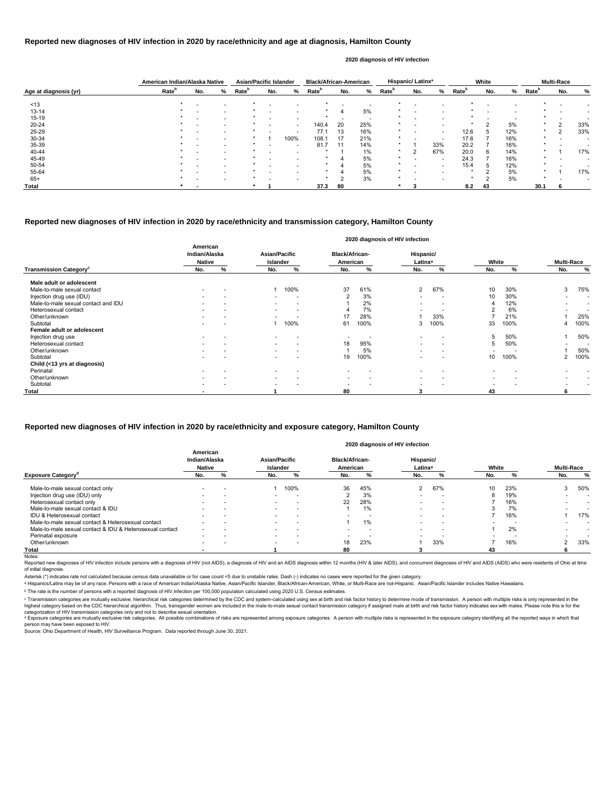|                       | American Indian/Alaska Native |                          |   | <b>Asian/Pacific Islander</b> |                          |                          | <b>Black/African-American</b> |                          |     |                   | <b>Hispanic/Latinx<sup>ª</sup></b> |                          |                   | White  |     |                   | <b>Multi-Race</b> |     |
|-----------------------|-------------------------------|--------------------------|---|-------------------------------|--------------------------|--------------------------|-------------------------------|--------------------------|-----|-------------------|------------------------------------|--------------------------|-------------------|--------|-----|-------------------|-------------------|-----|
| Age at diagnosis (yr) | Rate <sup>b</sup>             | No.                      | ℅ | Rate <sup>r</sup>             | No.                      | %                        | Rate <sup>5</sup>             | No.                      | %   | Rate <sup>b</sup> | No.                                | ℅                        | Rate <sup>b</sup> | No.    | %   | Rate <sup>b</sup> | No.               | %   |
| ~13                   |                               |                          |   |                               |                          |                          |                               |                          |     |                   |                                    |                          |                   |        |     |                   |                   |     |
| $13 - 14$             |                               |                          |   |                               |                          |                          |                               |                          | 5%  |                   | $\overline{\phantom{0}}$           |                          |                   |        |     |                   |                   |     |
| 15-19                 |                               | $\overline{\phantom{0}}$ |   |                               | $\overline{\phantom{a}}$ | $\overline{\phantom{0}}$ |                               | $\overline{\phantom{a}}$ | . . |                   | . .                                | $\overline{\phantom{0}}$ |                   |        |     |                   |                   |     |
| 20-24                 |                               |                          |   |                               |                          | $\overline{\phantom{0}}$ | 140.4                         | 20                       | 25% |                   | $\overline{\phantom{0}}$           | $\overline{\phantom{0}}$ |                   | $\sim$ | 5%  | $\star$           | - 2               | 33% |
| 25-29                 |                               |                          |   |                               |                          | $\overline{\phantom{0}}$ | 77.1                          | 13                       | 16% |                   |                                    | $\overline{\phantom{0}}$ | 12.6              |        | 12% | $\star$           | ◠                 | 33% |
| 30-34                 |                               |                          |   |                               |                          | 100%                     | 108.1                         | 17                       | 21% |                   |                                    | $\overline{\phantom{0}}$ | 17.6              |        | 16% | $\star$           |                   |     |
| 35-39                 |                               |                          |   |                               | $\overline{\phantom{a}}$ | $\overline{\phantom{0}}$ | 81.7                          | 11                       | 14% |                   |                                    | 33%                      | 20.2              |        | 16% | $\star$           |                   |     |
| 40-44                 |                               |                          |   | $\ast$                        |                          | $\overline{\phantom{0}}$ |                               |                          | 1%  | *                 | っ                                  | 67%                      | 20.0              | 6      | 14% | $\star$           |                   | 17% |
| 45-49                 |                               |                          |   |                               |                          |                          |                               |                          | 5%  | $\star$           |                                    | $\overline{\phantom{0}}$ | 24.3              |        | 16% | $\star$           |                   |     |
| 50-54                 |                               |                          |   |                               |                          |                          |                               |                          | 5%  |                   |                                    | $\overline{\phantom{0}}$ | 15.4              | Ð      | 12% |                   |                   |     |
| 55-64                 |                               |                          |   |                               |                          |                          |                               |                          | 5%  |                   | $\overline{\phantom{0}}$           | $\overline{\phantom{0}}$ |                   |        | 5%  | $\star$           |                   | 17% |
| $65+$                 |                               |                          |   | $\star$                       |                          | $\overline{\phantom{0}}$ | $\ast$                        | ◠                        | 3%  |                   | . .                                | $\overline{\phantom{0}}$ | $\star$           | $\sim$ | 5%  | $\star$           |                   |     |
| Total                 |                               |                          |   |                               |                          |                          | 37.3                          | 80                       |     |                   |                                    |                          | 8.2               | 43     |     | 30.1              |                   |     |

Reported new diagnoses of HIV infection include persons with a diagnosis of HIV (not AIDS), a diagnosis of HIV and an AIDS diagnosis within 12 months (HIV & later AIDS), and concurrent diagnoses of HIV and AIDS (AIDS) who of initial diagnosis.

|                                           |                                            |                          |                                         |                          |                                   |      | 2020 diagnosis of HIV infection  |                          |       |      |                          |                          |
|-------------------------------------------|--------------------------------------------|--------------------------|-----------------------------------------|--------------------------|-----------------------------------|------|----------------------------------|--------------------------|-------|------|--------------------------|--------------------------|
|                                           | American<br>Indian/Alaska<br><b>Native</b> |                          | <b>Asian/Pacific</b><br><b>Islander</b> |                          | <b>Black/African-</b><br>American |      | Hispanic/<br>Latinx <sup>a</sup> |                          | White |      | <b>Multi-Race</b>        |                          |
| <b>Transmission Category</b> <sup>c</sup> | No.                                        | %                        | No.                                     | %                        | No.                               | %    | No.                              | %                        | No.   | %    | No.                      | $\%$                     |
| Male adult or adolescent                  |                                            |                          |                                         |                          |                                   |      |                                  |                          |       |      |                          |                          |
| Male-to-male sexual contact               |                                            |                          |                                         | 100%                     | 37                                | 61%  | $\overline{2}$                   | 67%                      | 10    | 30%  | 3                        | 75%                      |
| Injection drug use (IDU)                  |                                            |                          | $\overline{\phantom{0}}$                |                          | 2                                 | 3%   | $\overline{\phantom{0}}$         | $\overline{\phantom{0}}$ | 10    | 30%  | $\overline{\phantom{0}}$ | $\overline{\phantom{0}}$ |
| Male-to-male sexual contact and IDU       |                                            | $\overline{\phantom{a}}$ | $\sim$                                  |                          |                                   | 2%   |                                  |                          |       | 12%  |                          | $\overline{\phantom{a}}$ |
| Heterosexual contact                      |                                            |                          | $\overline{\phantom{a}}$                | $\overline{a}$           |                                   | 7%   |                                  |                          |       | 6%   |                          | $\overline{\phantom{0}}$ |
| Other/unknown                             |                                            |                          | $\overline{\phantom{a}}$                |                          | 17                                | 28%  |                                  | 33%                      |       | 21%  |                          | 25%                      |
| Subtotal                                  |                                            |                          |                                         | 100%                     | 61                                | 100% | 3                                | 100%                     | 33    | 100% |                          | 100%                     |
| Female adult or adolescent                |                                            |                          |                                         |                          |                                   |      |                                  |                          |       |      |                          |                          |
| Injection drug use                        |                                            |                          |                                         |                          |                                   |      |                                  |                          | 5     | 50%  |                          | 50%                      |
| Heterosexual contact                      |                                            |                          | $\sim$                                  | $\overline{a}$           | 18                                | 95%  | $\overline{\phantom{0}}$         |                          | 5     | 50%  | $\overline{\phantom{0}}$ |                          |
| Other/unknown                             |                                            |                          | $\sim$                                  | $\overline{\phantom{a}}$ |                                   | 5%   | $\overline{\phantom{0}}$         | $\overline{\phantom{a}}$ |       |      |                          | 50%                      |
| Subtotal                                  |                                            |                          |                                         |                          | 19                                | 100% |                                  |                          | 10    | 100% | $\overline{2}$           | 100%                     |
| Child (<13 yrs at diagnosis)              |                                            |                          |                                         |                          |                                   |      |                                  |                          |       |      |                          |                          |
| Perinatal                                 |                                            |                          |                                         |                          |                                   |      | $\overline{\phantom{0}}$         |                          |       |      |                          |                          |
| Other/unknown                             |                                            |                          | $\overline{\phantom{0}}$                |                          |                                   |      |                                  | $\overline{\phantom{0}}$ |       |      |                          |                          |
| Subtotal                                  |                                            |                          | $\overline{\phantom{0}}$                |                          | $\overline{\phantom{0}}$          |      | $\overline{\phantom{a}}$         |                          |       |      |                          |                          |
| <b>Total</b>                              |                                            |                          |                                         |                          | 80                                |      | 3                                |                          | 43    |      | 6                        |                          |

© Transmission categories are mutually exclusive, hierarchical risk categories determined by the CDC and system-calculated using sex at birth and risk factor history to determine mode of transmission. A person with multip highest category based on the CDC hierarchical algorithm. Thus, transgender women are included in the male-to-male sexual contact transmission category if assigned male at birth and risk factor history indicates sex with m categorization of HIV transmission categories only and not to describe sexual orientation.

<sup>d</sup> Exposure categories are mutually exclusive risk categories. All possible combinations of risks are represented among exposure categories. A person with multiple risks is represented in the exposure category identifyin person may have been exposed to HIV.

#### **Reported new diagnoses of HIV infection in 2020 by race/ethnicity and age at diagnosis, Hamilton County**

#### **2020 diagnosis of HIV infection**

#### **Reported new diagnoses of HIV infection in 2020 by race/ethnicity and transmission category, Hamilton County**

Source: Ohio Department of Health, HIV Surveillance Program. Data reported through June 30, 2021.

|                                                          | American<br>Indian/Alaska<br><b>Native</b> |                          | <b>Asian/Pacific</b><br><b>Islander</b> |                          | <b>Black/African-</b><br>American |     | Hispanic/<br>Latinx <sup>a</sup> |                          | White |     | <b>Multi-Race</b> |                          |
|----------------------------------------------------------|--------------------------------------------|--------------------------|-----------------------------------------|--------------------------|-----------------------------------|-----|----------------------------------|--------------------------|-------|-----|-------------------|--------------------------|
| <b>Exposure Category</b> <sup>ª</sup>                    | No.                                        | %                        | No.                                     | %                        | No.                               |     | No.                              |                          | No.   |     | No.               | %                        |
| Male-to-male sexual contact only                         | $\overline{\phantom{0}}$                   | $\overline{\phantom{0}}$ |                                         | 100%                     | 36                                | 45% |                                  | 67%                      | 10    | 23% | $\sim$<br>د       | 50%                      |
| Injection drug use (IDU) only                            |                                            |                          |                                         |                          |                                   | 3%  |                                  |                          | 8     | 19% |                   | $\overline{\phantom{0}}$ |
| Heterosexual contact only                                |                                            |                          |                                         | $\overline{\phantom{a}}$ | 22                                | 28% | $\overline{\phantom{0}}$         |                          |       | 16% |                   |                          |
| Male-to-male sexual contact & IDU                        |                                            | $\overline{\phantom{a}}$ | $\overline{\phantom{0}}$                | $\overline{\phantom{a}}$ |                                   | 1%  | -                                |                          |       | 7%  |                   |                          |
| IDU & Heterosexual contact                               | $\overline{\phantom{0}}$                   |                          |                                         | $\overline{\phantom{0}}$ |                                   |     | $\overline{\phantom{0}}$         |                          |       | 16% |                   | 17%                      |
| Male-to-male sexual contact & Heterosexual contact       | $\overline{\phantom{0}}$                   | $\overline{\phantom{0}}$ | $\overline{\phantom{0}}$                | $\overline{\phantom{a}}$ |                                   | 1%  | $\overline{\phantom{a}}$         | $\overline{\phantom{a}}$ |       | . . |                   | $\overline{\phantom{0}}$ |
| Male-to-male sexual contact & IDU & Heterosexual contact | $\overline{\phantom{0}}$                   |                          | $\overline{\phantom{0}}$                | $\overline{\phantom{0}}$ |                                   |     | $\overline{\phantom{a}}$         |                          |       | 2%  |                   |                          |
| Perinatal exposure                                       | $\overline{\phantom{0}}$                   |                          |                                         |                          |                                   |     |                                  |                          |       |     |                   |                          |
| Other/unknown                                            | $\overline{\phantom{0}}$                   | $\overline{\phantom{0}}$ | $\overline{\phantom{0}}$                | $\overline{\phantom{a}}$ | 18                                | 23% |                                  | 33%                      |       | 16% | ົ                 | 33%                      |
| Total                                                    |                                            |                          |                                         |                          | 80                                |     |                                  |                          | 43    |     | 6                 |                          |
| Notes:                                                   |                                            |                          |                                         |                          |                                   |     |                                  |                          |       |     |                   |                          |

#### **Reported new diagnoses of HIV infection in 2020 by race/ethnicity and exposure category, Hamilton County**

#### **2020 diagnosis of HIV infection**

Asterisk (\*) indicates rate not calculated because census data unavailable or for case count <5 due to unstable rates. Dash (-) indicates no cases were reported for the given category.

a Hispanics/Latinx may be of any race. Persons with a race of American Indian/Alaska Native, Asian/Pacific Islander, Black/African-American, White, or Multi-Race are not-Hispanic. Asian/Pacific Islander includes Native Haw

ᵇ The rate is the number of persons with a reported diagnosis of HIV infection per 100,000 population calculated using 2020 U.S. Census estimates.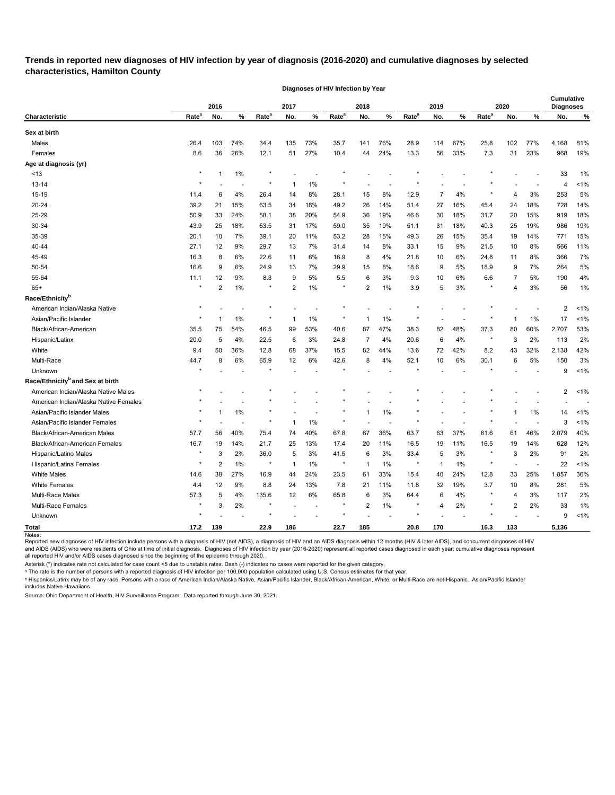**Trends in reported new diagnoses of HIV infection by year of diagnosis (2016-2020) and cumulative diagnoses by selected characteristics, Hamilton County** 

**Diagnoses of HIV Infection by Year**

|                                              |                   | 2016           |       |                   | 2017           |                          |                   | 2018         |       |                   | 2019           |     |                   | 2020           |     | <b>Cumulative</b><br><b>Diagnoses</b> |       |
|----------------------------------------------|-------------------|----------------|-------|-------------------|----------------|--------------------------|-------------------|--------------|-------|-------------------|----------------|-----|-------------------|----------------|-----|---------------------------------------|-------|
| <b>Characteristic</b>                        | Rate <sup>a</sup> | No.            | $\%$  | Rate <sup>a</sup> | No.            | $\%$                     | Rate <sup>a</sup> | No.          | %     | Rate <sup>a</sup> | No.            | ℅   | Rate <sup>a</sup> | No.            | %   | No.                                   | %     |
| Sex at birth                                 |                   |                |       |                   |                |                          |                   |              |       |                   |                |     |                   |                |     |                                       |       |
| Males                                        | 26.4              | 103            | 74%   | 34.4              | 135            | 73%                      | 35.7              | 141          | 76%   | 28.9              | 114            | 67% | 25.8              | 102            | 77% | 4,168                                 | 81%   |
| Females                                      | 8.6               | 36             | 26%   | 12.1              | 51             | 27%                      | 10.4              | 44           | 24%   | 13.3              | 56             | 33% | 7.3               | 31             | 23% | 968                                   | 19%   |
| Age at diagnosis (yr)                        |                   |                |       |                   |                |                          |                   |              |       |                   |                |     |                   |                |     |                                       |       |
| ~13                                          | $\star$           |                | 1%    | ×                 |                |                          |                   |              |       |                   |                |     |                   |                |     | 33                                    | 1%    |
| 13-14                                        |                   |                |       | ×                 | -1             | 1%                       |                   |              |       |                   |                |     |                   |                |     | 4                                     | 1%    |
| 15-19                                        | 11.4              | 6              | 4%    | 26.4              | 14             | 8%                       | 28.1              | 15           | 8%    | 12.9              | 7              | 4%  |                   | 4              | 3%  | 253                                   | 5%    |
| 20-24                                        | 39.2              | 21             | 15%   | 63.5              | 34             | 18%                      | 49.2              | 26           | 14%   | 51.4              | 27             | 16% | 45.4              | 24             | 18% | 728                                   | 14%   |
| 25-29                                        | 50.9              | 33             | 24%   | 58.1              | 38             | 20%                      | 54.9              | 36           | 19%   | 46.6              | 30             | 18% | 31.7              | 20             | 15% | 919                                   | 18%   |
| 30-34                                        | 43.9              | 25             | 18%   | 53.5              | 31             | 17%                      | 59.0              | 35           | 19%   | 51.1              | 31             | 18% | 40.3              | 25             | 19% | 986                                   | 19%   |
| 35-39                                        | 20.1              | 10             | 7%    | 39.1              | 20             | 11%                      | 53.2              | 28           | 15%   | 49.3              | 26             | 15% | 35.4              | 19             | 14% | 771                                   | 15%   |
| 40-44                                        | 27.1              | 12             | 9%    | 29.7              | 13             | 7%                       | 31.4              | 14           | 8%    | 33.1              | 15             | 9%  | 21.5              | 10             | 8%  | 566                                   | 11%   |
| 45-49                                        | 16.3              | 8              | 6%    | 22.6              | 11             | 6%                       | 16.9              | 8            | 4%    | 21.8              | 10             | 6%  | 24.8              | 11             | 8%  | 366                                   | 7%    |
| 50-54                                        | 16.6              | 9              | 6%    | 24.9              | 13             | 7%                       | 29.9              | 15           | 8%    | 18.6              | 9              | 5%  | 18.9              | 9              | 7%  | 264                                   | 5%    |
| 55-64                                        | 11.1              | 12             | 9%    | 8.3               | 9              | 5%                       | 5.5               | 6            | 3%    | 9.3               | 10             | 6%  | 6.6               | 7              | 5%  | 190                                   | 4%    |
| $65+$                                        | $\star$           | $\overline{2}$ | 1%    | $\ast$            | $\overline{2}$ | 1%                       | ÷                 | 2            | 1%    | 3.9               | 5              | 3%  |                   | 4              | 3%  | 56                                    | 1%    |
| Race/Ethnicity <sup>b</sup>                  |                   |                |       |                   |                |                          |                   |              |       |                   |                |     |                   |                |     |                                       |       |
| American Indian/Alaska Native                |                   |                |       |                   |                |                          |                   |              |       |                   |                |     |                   |                |     | $\overline{2}$                        | 1%    |
| Asian/Pacific Islander                       |                   |                | 1%    |                   |                | 1%                       |                   |              | 1%    |                   |                |     |                   |                | 1%  | 17                                    | 1%    |
| Black/African-American                       | 35.5              | 75             | 54%   | 46.5              | 99             | 53%                      | 40.6              | 87           | 47%   | 38.3              | 82             | 48% | 37.3              | 80             | 60% | 2,707                                 | 53%   |
| Hispanic/Latinx                              | 20.0              | 5              | 4%    | 22.5              | 6              | 3%                       | 24.8              | 7            | 4%    | 20.6              | 6              | 4%  | $\star$           | 3              | 2%  | 113                                   | 2%    |
| White                                        | 9.4               | 50             | 36%   | 12.8              | 68             | 37%                      | 15.5              | 82           | 44%   | 13.6              | 72             | 42% | 8.2               | 43             | 32% | 2,138                                 | 42%   |
| Multi-Race                                   | 44.7              | 8              | 6%    | 65.9              | 12             | 6%                       | 42.6              | 8            | 4%    | 52.1              | 10             | 6%  | 30.1              | 6              | 5%  | 150                                   | 3%    |
| Unknown                                      |                   |                |       |                   |                |                          |                   |              |       |                   |                |     |                   |                |     | 9                                     | 1%    |
| Race/Ethnicity <sup>b</sup> and Sex at birth |                   |                |       |                   |                |                          |                   |              |       |                   |                |     |                   |                |     |                                       |       |
| American Indian/Alaska Native Males          |                   |                |       |                   |                |                          |                   |              |       |                   |                |     |                   |                |     | 2                                     | $1\%$ |
| American Indian/Alaska Native Females        |                   |                |       |                   |                |                          |                   |              |       |                   |                |     |                   |                |     |                                       |       |
| Asian/Pacific Islander Males                 |                   |                | 1%    |                   |                |                          |                   |              | 1%    |                   |                |     |                   |                | 1%  | 14                                    | 1%    |
| Asian/Pacific Islander Females               |                   |                |       |                   |                | 1%                       |                   |              |       |                   |                |     |                   |                |     | 3                                     | 1%    |
| Black/African-American Males                 | 57.7              | 56             | 40%   | 75.4              | 74             | 40%                      | 67.8              | 67           | 36%   | 63.7              | 63             | 37% | 61.6              | 61             | 46% | 2,079                                 | 40%   |
| Black/African-American Females               | 16.7              | 19             | 14%   | 21.7              | 25             | 13%                      | 17.4              | 20           | 11%   | 16.5              | 19             | 11% | 16.5              | 19             | 14% | 628                                   | 12%   |
| Hispanic/Latino Males                        | $\star$           | 3              | 2%    | 36.0              | 5              | 3%                       | 41.5              | 6            | 3%    | 33.4              | 5              | 3%  | $^\star$          | 3              | 2%  | 91                                    | 2%    |
| Hispanic/Latina Females                      | $\star$           | $\overline{c}$ | $1\%$ | $\,$ $\,$         | $\overline{1}$ | $1\%$                    | $\star$           | $\mathbf{1}$ | $1\%$ | $\pmb{\ast}$      | $\mathbf{1}$   | 1%  | $\star$           |                |     | 22                                    | 1%    |
| <b>White Males</b>                           | 14.6              | 38             | 27%   | 16.9              | 44             | 24%                      | 23.5              | 61           | 33%   | 15.4              | 40             | 24% | 12.8              | 33             | 25% | 1,857                                 | 36%   |
| <b>White Females</b>                         | 4.4               | 12             | 9%    | 8.8               | 24             | 13%                      | 7.8               | 21           | 11%   | 11.8              | 32             | 19% | 3.7               | 10             | 8%  | 281                                   | 5%    |
| Multi-Race Males                             | 57.3              | 5              | 4%    | 135.6             | 12             | 6%                       | 65.8              | 6            | 3%    | 64.4              | 6              | 4%  | $\star$           | 4              | 3%  | 117                                   | 2%    |
| Multi-Race Females                           | $^\star$          | 3              | 2%    | $\star$           |                | $\overline{\phantom{a}}$ | $^\star$          | 2            | $1\%$ | $\star$           | $\overline{4}$ | 2%  | $^\star$          | $\overline{c}$ | 2%  | 33                                    | 1%    |
| Unknown                                      |                   |                |       | $\star$           |                |                          |                   |              |       |                   |                |     |                   |                |     | 9                                     | 1%    |
| <b>Total</b>                                 | 17.2              | 139            |       | 22.9              | 186            |                          | 22.7              | 185          |       | 20.8              | 170            |     | 16.3              | 133            |     | 5,136                                 |       |

Reported new diagnoses of HIV infection include persons with a diagnosis of HIV (not AIDS), a diagnosis of HIV and an AIDS diagnosis within 12 months (HIV & later AIDS), and concurrent diagnoses of HIV and AIDS (AIDS) who were residents of Ohio at time of initial diagnosis. Diagnoses of HIV infection by year (2016-2020) represent all reported cases diagnosed in each year; cumulative diagnoses represent all reported HIV and/or AIDS cases diagnosed since the beginning of the epidemic through 2020.

Asterisk (\*) indicates rate not calculated for case count <5 due to unstable rates. Dash (-) indicates no cases were reported for the given category.

ᵃ The rate is the number of persons with a reported diagnosis of HIV infection per 100,000 population calculated using U.S. Census estimates for that year.

<sup>ь</sup> Hispanics/Latinx may be of any race. Persons with a race of American Indian/Alaska Native, Asian/Pacific Islander, Black/African-American, White, or Multi-Race are not-Hispanic. Asian/Pacific Islander includes Native Hawaiians.

Source: Ohio Department of Health, HIV Surveillance Program. Data reported through June 30, 2021.

Notes: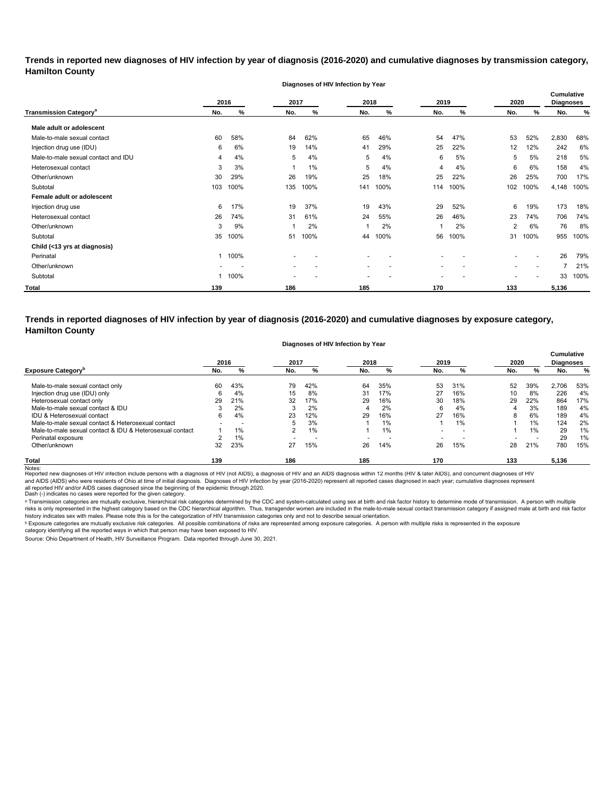**Trends in reported new diagnoses of HIV infection by year of diagnosis (2016-2020) and cumulative diagnoses by transmission category, Hamilton County**

|                                          |      |      |                          | Diagnoses of HIV Infection by Year |      |      |      |      |                          |                          |                                       |      |
|------------------------------------------|------|------|--------------------------|------------------------------------|------|------|------|------|--------------------------|--------------------------|---------------------------------------|------|
|                                          | 2016 |      | 2017                     |                                    | 2018 |      | 2019 |      | 2020                     |                          | <b>Cumulative</b><br><b>Diagnoses</b> |      |
| <b>Transmission Category<sup>a</sup></b> | No.  | %    | No.                      | %                                  | No.  | %    | No.  | %    | No.                      | %                        | No.                                   | %    |
| Male adult or adolescent                 |      |      |                          |                                    |      |      |      |      |                          |                          |                                       |      |
| Male-to-male sexual contact              | 60   | 58%  | 84                       | 62%                                | 65   | 46%  | 54   | 47%  | 53                       | 52%                      | 2,830                                 | 68%  |
| Injection drug use (IDU)                 | 6    | 6%   | 19                       | 14%                                | 41   | 29%  | 25   | 22%  | 12                       | 12%                      | 242                                   | 6%   |
| Male-to-male sexual contact and IDU      | 4    | 4%   | 5                        | 4%                                 | 5    | 4%   | 6    | 5%   | 5                        | 5%                       | 218                                   | 5%   |
| Heterosexual contact                     | 3    | 3%   |                          | 1%                                 | 5    | 4%   | 4    | 4%   | 6                        | 6%                       | 158                                   | 4%   |
| Other/unknown                            | 30   | 29%  | 26                       | 19%                                | 25   | 18%  | 25   | 22%  | 26                       | 25%                      | 700                                   | 17%  |
| Subtotal                                 | 103  | 100% | 135                      | 100%                               | 141  | 100% | 114  | 100% | 102                      | 100%                     | 4,148                                 | 100% |
| Female adult or adolescent               |      |      |                          |                                    |      |      |      |      |                          |                          |                                       |      |
| Injection drug use                       | 6    | 17%  | 19                       | 37%                                | 19   | 43%  | 29   | 52%  | 6                        | 19%                      | 173                                   | 18%  |
| Heterosexual contact                     | 26   | 74%  | 31                       | 61%                                | 24   | 55%  | 26   | 46%  | 23                       | 74%                      | 706                                   | 74%  |
| Other/unknown                            | 3    | 9%   |                          | 2%                                 |      | 2%   |      | 2%   | 2                        | 6%                       | 76                                    | 8%   |
| Subtotal                                 | 35   | 100% | 51                       | 100%                               | 44   | 100% | 56   | 100% | 31                       | 100%                     | 955                                   | 100% |
| Child (<13 yrs at diagnosis)             |      |      |                          |                                    |      |      |      |      |                          |                          |                                       |      |
| Perinatal                                |      | 100% |                          |                                    |      |      |      |      |                          |                          | 26                                    | 79%  |
| Other/unknown                            |      |      | $\overline{\phantom{a}}$ |                                    | ٠    |      | ٠    |      | $\overline{\phantom{0}}$ | $\overline{\phantom{a}}$ |                                       | 21%  |
| Subtotal                                 |      | 100% |                          |                                    |      |      |      |      |                          |                          | 33                                    | 100% |
| <b>Total</b>                             | 139  |      | 186                      |                                    | 185  |      | 170  |      | 133                      |                          | 5,136                                 |      |

**Trends in reported diagnoses of HIV infection by year of diagnosis (2016-2020) and cumulative diagnoses by exposure category, Hamilton County**

#### **Diagnoses of HIV Infection by Year**

|                                                          | 2016 |                          | 2017 |                          | 2018 |     | 2019 |                | 2020 |       | <b>Cumulative</b><br><b>Diagnoses</b> |     |
|----------------------------------------------------------|------|--------------------------|------|--------------------------|------|-----|------|----------------|------|-------|---------------------------------------|-----|
| <b>Exposure Category</b> "                               | No.  | %                        | No.  | %                        | No.  | %   | No.  | %              | No.  | %     | No.                                   | %   |
| Male-to-male sexual contact only                         | 60   | 43%                      | 79   | 42%                      | 64   | 35% | 53   | 31%            | 52   | 39%   | 2,706                                 | 53% |
| Injection drug use (IDU) only                            | 6    | 4%                       | 15   | 8%                       | 31   | 17% | 27   | 16%            | 10   | 8%    | 226                                   | 4%  |
| Heterosexual contact only                                | 29   | 21%                      | 32   | 17%                      | 29   | 16% | 30   | 18%            | 29   | 22%   | 864                                   | 17% |
| Male-to-male sexual contact & IDU                        |      | 2%                       | 3    | 2%                       |      | 2%  | 6    | 4%             | 4    | 3%    | 189                                   | 4%  |
| IDU & Heterosexual contact                               | 6    | 4%                       | 23   | 12%                      | 29   | 16% | 27   | 16%            | 8    | 6%    | 189                                   | 4%  |
| Male-to-male sexual contact & Heterosexual contact       | -    | $\overline{\phantom{a}}$ | 5    | 3%                       |      | 1%  |      | 1%             |      | $1\%$ | 124                                   | 2%  |
| Male-to-male sexual contact & IDU & Heterosexual contact |      | 1%                       | ົ    | 1%                       |      | 1%  |      | $\overline{a}$ |      | 1%    | 29                                    | 1%  |
| Perinatal exposure                                       |      | $1\%$                    |      | $\overline{\phantom{0}}$ |      | -   |      |                |      |       | 29                                    | 1%  |
| Other/unknown                                            | 32   | 23%                      | 27   | 15%                      | 26   | 14% | 26   | 15%            | 28   | 21%   | 780                                   | 15% |
| <b>Total</b>                                             | 139  |                          | 186  |                          | 185  |     | 170  |                | 133  |       | 5,136                                 |     |

Notes:<br>Reported new diagnoses of HIV infection include persons with a diagnosis of HIV (not AIDS), a diagnosis addignosis of HIDS diagnosis within 12 months (HIV & later AIDS), and concurrent diagnoses of HIV all reported HIV and/or AIDS cases diagnosed since the beginning of the epidemic through 2020.<br>Dash (-) indicates no cases were reported for the given category. and AIDS (AIDS) who were residents of Ohio at time of initial diagnosis. Diagnoses of HIV infection by year (2016-2020) represent all reported cases diagnosed in each year; cumulative diagnoses represent

a Transmission categories are mutually exclusive, hierarchical risk categories determined by the CDC and system-calculated using sex at birth and risk factor history to determine mode of transmission. A person with multip risks is only represented in the highest category based on the CDC hierarchical algorithm. Thus, transgender women are included in the male-to-male sexual contact transmission category if assigned male at birth and risk f history indicates sex with males. Please note this is for the categorization of HIV transmission categories only and not to describe sexual orientation.

 $^{\rm b}$  Exposure categories are mutually exclusive risk categories. All possible combinations of risks are represented among exposure categories. A person with multiple risks is represented in the exposure

category identifying all the reported ways in which that person may have been exposed to HIV. Source: Ohio Department of Health, HIV Surveillance Program. Data reported through June 30, 2021.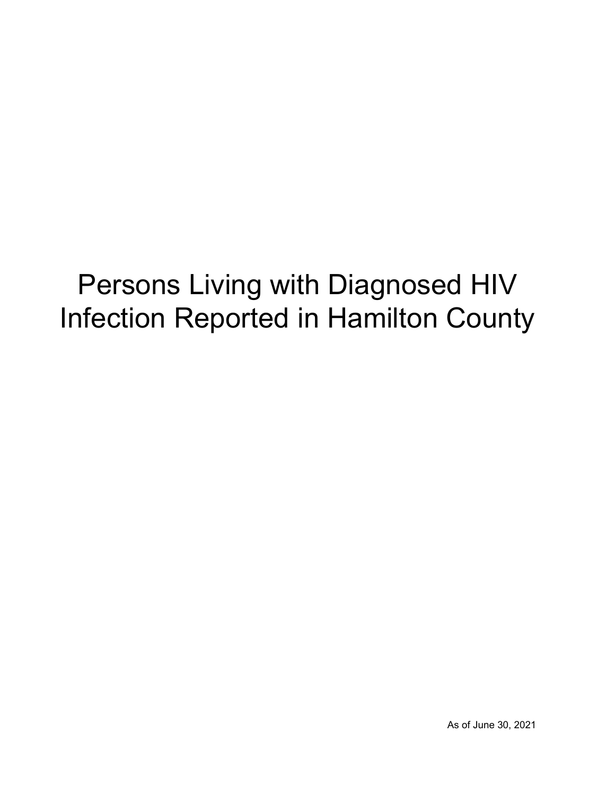## Persons Living with Diagnosed HIV Infection Reported in Hamilton County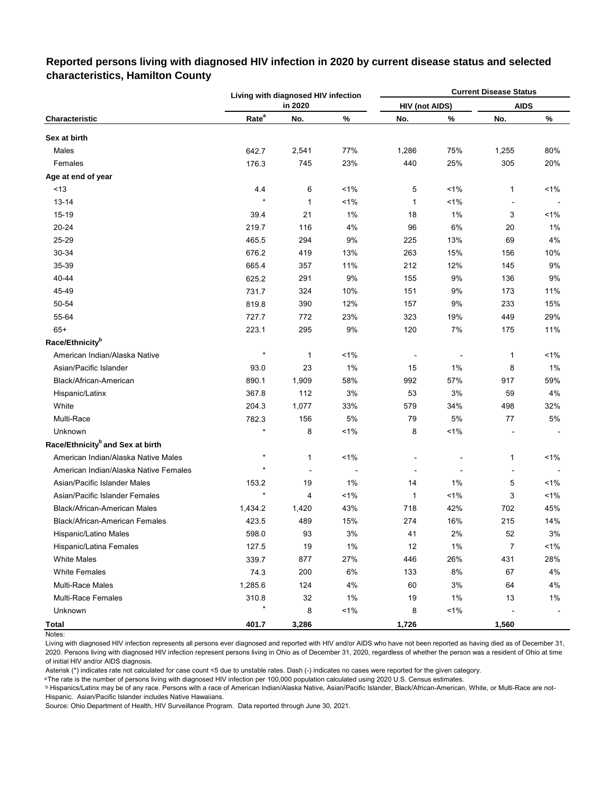|                                              |                   | Living with diagnosed HIV infection |         |                       |         | <b>Current Disease Status</b> |       |
|----------------------------------------------|-------------------|-------------------------------------|---------|-----------------------|---------|-------------------------------|-------|
|                                              |                   | in 2020                             |         | <b>HIV (not AIDS)</b> |         | <b>AIDS</b>                   |       |
| Characteristic                               | Rate <sup>a</sup> | No.                                 | %       | No.                   | %       | No.                           | ℅     |
| Sex at birth                                 |                   |                                     |         |                       |         |                               |       |
| Males                                        | 642.7             | 2,541                               | 77%     | 1,286                 | 75%     | 1,255                         | 80%   |
| Females                                      | 176.3             | 745                                 | 23%     | 440                   | 25%     | 305                           | 20%   |
| Age at end of year                           |                   |                                     |         |                       |         |                               |       |
| < 13                                         | 4.4               | 6                                   | $1\%$   | 5                     | $1\%$   | 1                             | $1\%$ |
| $13 - 14$                                    | $\star$           | $\mathbf{1}$                        | $< 1\%$ | $\mathbf{1}$          | 1%      |                               |       |
| 15-19                                        | 39.4              | 21                                  | 1%      | 18                    | 1%      | 3                             | $1\%$ |
| 20-24                                        | 219.7             | 116                                 | 4%      | 96                    | 6%      | 20                            | 1%    |
| 25-29                                        | 465.5             | 294                                 | 9%      | 225                   | 13%     | 69                            | 4%    |
| 30-34                                        | 676.2             | 419                                 | 13%     | 263                   | 15%     | 156                           | 10%   |
| 35-39                                        | 665.4             | 357                                 | 11%     | 212                   | 12%     | 145                           | 9%    |
| 40-44                                        | 625.2             | 291                                 | 9%      | 155                   | 9%      | 136                           | 9%    |
| 45-49                                        | 731.7             | 324                                 | 10%     | 151                   | 9%      | 173                           | 11%   |
| 50-54                                        | 819.8             | 390                                 | 12%     | 157                   | 9%      | 233                           | 15%   |
| 55-64                                        | 727.7             | 772                                 | 23%     | 323                   | 19%     | 449                           | 29%   |
| $65+$                                        | 223.1             | 295                                 | 9%      | 120                   | 7%      | 175                           | 11%   |
| Race/Ethnicity <sup>b</sup>                  |                   |                                     |         |                       |         |                               |       |
| American Indian/Alaska Native                | $\star$           | 1                                   | $< 1\%$ |                       |         | 1                             | 1%    |
| Asian/Pacific Islander                       | 93.0              | 23                                  | 1%      | 15                    | $1\%$   | 8                             | 1%    |
| Black/African-American                       | 890.1             | 1,909                               | 58%     | 992                   | 57%     | 917                           | 59%   |
| Hispanic/Latinx                              | 367.8             | 112                                 | 3%      | 53                    | 3%      | 59                            | 4%    |
| White                                        | 204.3             | 1,077                               | 33%     | 579                   | 34%     | 498                           | 32%   |
| Multi-Race                                   | 782.3             | 156                                 | 5%      | 79                    | 5%      | 77                            | 5%    |
| Unknown                                      |                   | 8                                   | 1%      | 8                     | 1%      |                               |       |
| Race/Ethnicity <sup>b</sup> and Sex at birth |                   |                                     |         |                       |         |                               |       |
| American Indian/Alaska Native Males          | $\star$           | 1                                   | $< 1\%$ |                       |         | 1                             | 1%    |
| American Indian/Alaska Native Females        | $\star$           | ÷,                                  |         |                       |         | $\overline{a}$                |       |
| Asian/Pacific Islander Males                 | 153.2             | 19                                  | 1%      | 14                    | 1%      | 5                             | 1%    |
| Asian/Pacific Islander Females               |                   | 4                                   | 1%      | 1                     | $< 1\%$ | 3                             | 1%    |
| Black/African-American Males                 | 1,434.2           | 1,420                               | 43%     | 718                   | 42%     | 702                           | 45%   |
| Black/African-American Females               | 423.5             | 489                                 | 15%     | 274                   | 16%     | 215                           | 14%   |
| Hispanic/Latino Males                        | 598.0             | 93                                  | 3%      | 41                    | $2\%$   | 52                            | $3%$  |
| Hispanic/Latina Females                      | 127.5             | 19                                  | 1%      | 12                    | 1%      | $\overline{7}$                | 1%    |
| <b>White Males</b>                           | 339.7             | 877                                 | 27%     | 446                   | 26%     | 431                           | 28%   |
| <b>White Females</b>                         | 74.3              | 200                                 | 6%      | 133                   | 8%      | 67                            | 4%    |
| <b>Multi-Race Males</b>                      | 1,285.6           | 124                                 | 4%      | 60                    | 3%      | 64                            | 4%    |
| <b>Multi-Race Females</b>                    | 310.8             | 32                                  | 1%      | 19                    | 1%      | 13                            | 1%    |
| Unknown                                      | $\star$           | 8                                   | 1%      | 8                     | $< 1\%$ |                               |       |
| <b>Total</b>                                 | 401.7             | 3,286                               |         | 1,726                 |         | 1,560                         |       |

## **Reported persons living with diagnosed HIV infection in 2020 by current disease status and selected characteristics, Hamilton County**

Notes:

Living with diagnosed HIV infection represents all persons ever diagnosed and reported with HIV and/or AIDS who have not been reported as having died as of December 31, 2020. Persons living with diagnosed HIV infection represent persons living in Ohio as of December 31, 2020, regardless of whether the person was a resident of Ohio at time of initial HIV and/or AIDS diagnosis.

Asterisk (\*) indicates rate not calculated for case count <5 due to unstable rates. Dash (-) indicates no cases were reported for the given category.

a The rate is the number of persons living with diagnosed HIV infection per 100,000 population calculated using 2020 U.S. Census estimates.

ᵇ Hispanics/Latinx may be of any race. Persons with a race of American Indian/Alaska Native, Asian/Pacific Islander, Black/African-American, White, or Multi-Race are not-Hispanic. Asian/Pacific Islander includes Native Hawaiians.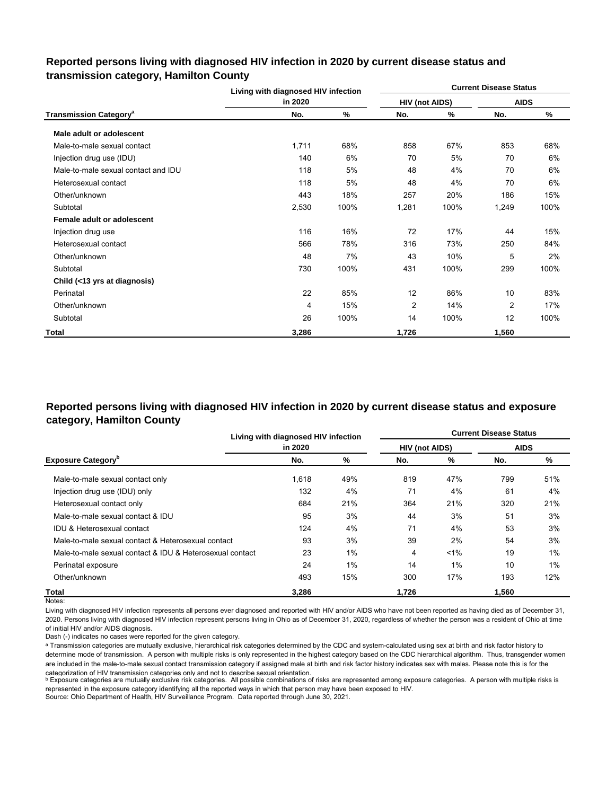## **Reported persons living with diagnosed HIV infection in 2020 by current disease status and transmission category, Hamilton County**

|                                          | Living with diagnosed HIV infection |      |                       |      | <b>Current Disease Status</b> |      |
|------------------------------------------|-------------------------------------|------|-----------------------|------|-------------------------------|------|
|                                          | in 2020                             |      | <b>HIV (not AIDS)</b> |      | <b>AIDS</b>                   |      |
| <b>Transmission Category<sup>a</sup></b> | No.                                 | %    | No.                   | %    | No.                           | %    |
| Male adult or adolescent                 |                                     |      |                       |      |                               |      |
| Male-to-male sexual contact              | 1,711                               | 68%  | 858                   | 67%  | 853                           | 68%  |
| Injection drug use (IDU)                 | 140                                 | 6%   | 70                    | 5%   | 70                            | 6%   |
| Male-to-male sexual contact and IDU      | 118                                 | 5%   | 48                    | 4%   | 70                            | 6%   |
| Heterosexual contact                     | 118                                 | 5%   | 48                    | 4%   | 70                            | 6%   |
| Other/unknown                            | 443                                 | 18%  | 257                   | 20%  | 186                           | 15%  |
| Subtotal                                 | 2,530                               | 100% | 1,281                 | 100% | 1,249                         | 100% |
| Female adult or adolescent               |                                     |      |                       |      |                               |      |
| Injection drug use                       | 116                                 | 16%  | 72                    | 17%  | 44                            | 15%  |
| Heterosexual contact                     | 566                                 | 78%  | 316                   | 73%  | 250                           | 84%  |
| Other/unknown                            | 48                                  | 7%   | 43                    | 10%  | 5                             | 2%   |
| Subtotal                                 | 730                                 | 100% | 431                   | 100% | 299                           | 100% |
| Child (<13 yrs at diagnosis)             |                                     |      |                       |      |                               |      |
| Perinatal                                | 22                                  | 85%  | 12                    | 86%  | 10                            | 83%  |
| Other/unknown                            | 4                                   | 15%  | 2                     | 14%  | $\overline{2}$                | 17%  |
| Subtotal                                 | 26                                  | 100% | 14                    | 100% | 12                            | 100% |
| Total                                    | 3,286                               |      | 1,726                 |      | 1,560                         |      |

## **Reported persons living with diagnosed HIV infection in 2020 by current disease status and exposure category, Hamilton County**

|                                                          | Living with diagnosed HIV infection |       |                       | <b>Current Disease Status</b> |             |     |  |  |
|----------------------------------------------------------|-------------------------------------|-------|-----------------------|-------------------------------|-------------|-----|--|--|
|                                                          | in 2020                             |       | <b>HIV (not AIDS)</b> |                               | <b>AIDS</b> |     |  |  |
| <b>Exposure Category</b> <sup>p</sup>                    | No.                                 | %     | No.                   | %                             | No.         | %   |  |  |
| Male-to-male sexual contact only                         | 1,618                               | 49%   | 819                   | 47%                           | 799         | 51% |  |  |
| Injection drug use (IDU) only                            | 132                                 | 4%    | 71                    | 4%                            | 61          | 4%  |  |  |
| Heterosexual contact only                                | 684                                 | 21%   | 364                   | 21%                           | 320         | 21% |  |  |
| Male-to-male sexual contact & IDU                        | 95                                  | 3%    | 44                    | 3%                            | 51          | 3%  |  |  |
| <b>IDU &amp; Heterosexual contact</b>                    | 124                                 | 4%    | 71                    | 4%                            | 53          | 3%  |  |  |
| Male-to-male sexual contact & Heterosexual contact       | 93                                  | 3%    | 39                    | 2%                            | 54          | 3%  |  |  |
| Male-to-male sexual contact & IDU & Heterosexual contact | 23                                  | $1\%$ | 4                     | $1\%$                         | 19          | 1%  |  |  |
| Perinatal exposure                                       | 24                                  | 1%    | 14                    | 1%                            | 10          | 1%  |  |  |
| Other/unknown                                            | 493                                 | 15%   | 300                   | 17%                           | 193         | 12% |  |  |
| Total                                                    | 3.286                               |       | 1.726                 |                               | 1.560       |     |  |  |

Notes:

Living with diagnosed HIV infection represents all persons ever diagnosed and reported with HIV and/or AIDS who have not been reported as having died as of December 31, 2020. Persons living with diagnosed HIV infection represent persons living in Ohio as of December 31, 2020, regardless of whether the person was a resident of Ohio at time of initial HIV and/or AIDS diagnosis.

Dash (-) indicates no cases were reported for the given category.

a Transmission categories are mutually exclusive, hierarchical risk categories determined by the CDC and system-calculated using sex at birth and risk factor history to determine mode of transmission. A person with multiple risks is only represented in the highest category based on the CDC hierarchical algorithm. Thus, transgender women are included in the male-to-male sexual contact transmission category if assigned male at birth and risk factor history indicates sex with males. Please note this is for the categorization of HIV transmission categories only and not to describe sexual orientation.

**b** Exposure categories are mutually exclusive risk categories. All possible combinations of risks are represented among exposure categories. A person with multiple risks is represented in the exposure category identifying all the reported ways in which that person may have been exposed to HIV.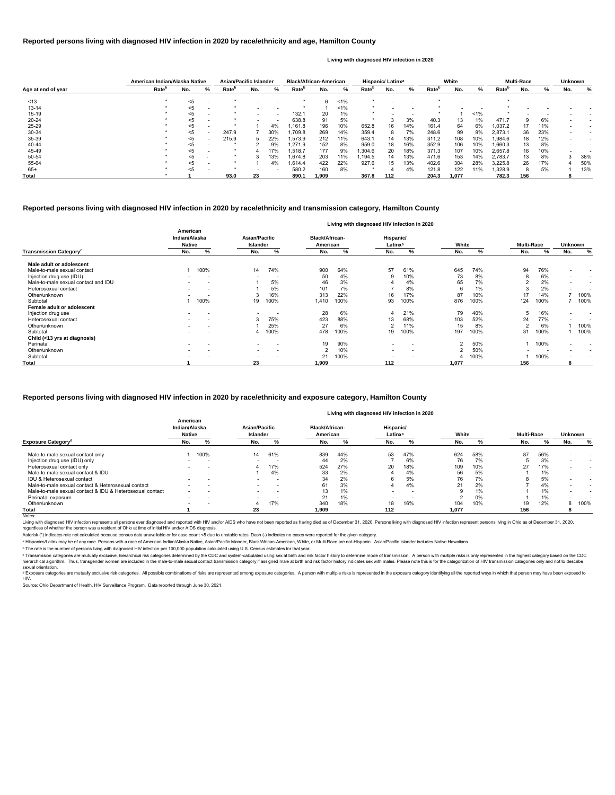|                    |                          | American Indian/Alaska Native |   | <b>Asian/Pacific Islander</b> |     |     | <b>Black/African-American</b> |       |       | Hispanic/Latinx <sup>a</sup> |     |     | White             |       |       |                   | <b>Multi-Race</b> |     | <b>Unknown</b> |     |
|--------------------|--------------------------|-------------------------------|---|-------------------------------|-----|-----|-------------------------------|-------|-------|------------------------------|-----|-----|-------------------|-------|-------|-------------------|-------------------|-----|----------------|-----|
| Age at end of year | <b>Rate</b> <sup>p</sup> | No.                           | % | Rate <sup>r</sup>             | No. | %   | Rate <sup>r</sup>             | No.   | %     | Rate <sup>r</sup>            | No. | %   | Rate <sup>r</sup> | No.   | ℅     | Rate <sup>'</sup> | No.               | %   | No.            | ℅   |
| ~13                |                          | $5$                           |   |                               |     |     |                               | 6     | 1%    |                              |     |     |                   |       |       |                   |                   |     |                |     |
| 13-14              |                          | $5$                           |   |                               |     |     |                               |       | $1\%$ |                              |     |     |                   |       |       |                   |                   |     |                |     |
| $15 - 19$          |                          |                               |   |                               |     |     | 132.1                         | 20    | $1\%$ |                              |     |     |                   |       | $1\%$ |                   |                   |     |                |     |
| 20-24              |                          |                               |   |                               |     |     | 638.8                         | 91    | 5%    |                              |     | 3%  | 40.3              | 13    | 1%    | 471.7             |                   | 6%  |                |     |
| 25-29              |                          | <5                            |   |                               |     | 4%  | .161.8                        | 196   | 10%   | 652.8                        | 16  | 14% | 161.4             | 64    | 6%    | 037.2             |                   | 11% |                |     |
| 30-34              |                          | <5                            |   | 247.9                         |     | 30% | .709.8                        | 269   | 14%   | 359.4                        | 8   | 7%  | 248.6             | 99    | 9%    | 2,873.1           | 36                | 23% |                |     |
| 35-39              |                          | <5                            |   | 215.9                         |     | 22% | .573.9                        | 212   | 11%   | 643.1                        | 14  | 13% | 311.2             | 108   | 10%   | ,984.6            | 18                | 12% |                |     |
| 40-44              |                          | <5                            |   |                               |     | 9%  | .271.9                        | 152   | 8%    | 959.0                        | 18  | 16% | 352.9             | 106   | 10%   | 1,660.3           | 13.               | 8%  |                |     |
| 45-49              |                          | <5                            |   |                               |     | 17% | .518.7                        | 177   | 9%    | .304.6                       | 20  | 18% | 371.3             | 107   | 10%   | 2,657.8           | 16                | 10% |                |     |
| 50-54              |                          | $<$ 5                         |   |                               |     | 13% | .674.8                        | 203   | 11%   | .194.5                       | 14  | 13% | 471.6             | 153   | 14%   | 2,783.7           | 13.               | 8%  |                | 38% |
| 55-64              |                          |                               |   |                               |     | 4%  | .614.4                        | 422   | 22%   | 927.6                        | 15  | 13% | 402.6             | 304   | 28%   | 3,225.8           | 26                | 17% |                | 50% |
| 65+                |                          | <5                            |   |                               |     |     | 580.2                         | 160   | 8%    |                              |     | 4%  | 121.8             | 122   | 11%   | ,328.9            | 8                 | 5%  |                | 13% |
| Total              |                          |                               |   | 93.0                          | 23  |     | 890.1                         | 1.909 |       | 367.8                        | 112 |     | 204.3             | 1.077 |       | 782.3             | 156               |     |                |     |

© Transmission categories are mutually exclusive, hierarchical risk categories determined by the CDC and system-calculated using sex at birth and risk factor history to determine mode of transmission. A person with multip hierarchical algorithm. Thus, transgender women are included in the male-to-male sexual contact transmission category if assigned male at birth and risk factor history indicates sex with males. Please note this is for the sexual orientation.

<sup>d</sup> Exposure categories are mutually exclusive risk categories. All possible combinations of risks are represented among exposure categories. A person with multiple risks is represented in the exposure category identifying

|                                           | Living with diagnosed HIV infection in 2020 |                          |                                  |      |                                   |      |                                  |                          |                |      |                   |      |                          |                          |
|-------------------------------------------|---------------------------------------------|--------------------------|----------------------------------|------|-----------------------------------|------|----------------------------------|--------------------------|----------------|------|-------------------|------|--------------------------|--------------------------|
|                                           | American<br>Indian/Alaska<br><b>Native</b>  |                          | Asian/Pacific<br><b>Islander</b> |      | <b>Black/African-</b><br>American |      | Hispanic/<br>Latinx <sup>a</sup> |                          | White          |      | <b>Multi-Race</b> |      | Unknown                  |                          |
| <b>Transmission Category</b> <sup>c</sup> | No.                                         | %                        | No.                              | %    | No.                               | %    | No.                              | %                        | No.            | %    | No.               | %    | No.                      | %                        |
| Male adult or adolescent                  |                                             |                          |                                  |      |                                   |      |                                  |                          |                |      |                   |      |                          |                          |
| Male-to-male sexual contact               |                                             | 100%                     | 14                               | 74%  | 900                               | 64%  | 57                               | 61%                      | 645            | 74%  | 94                | 76%  | ٠                        | $\overline{\phantom{a}}$ |
| Injection drug use (IDU)                  |                                             |                          | $\overline{\phantom{0}}$         |      | 50                                | 4%   | 9                                | 10%                      | 73             | 8%   |                   | 6%   | $\overline{\phantom{a}}$ | $\overline{\phantom{0}}$ |
| Male-to-male sexual contact and IDU       |                                             | $\overline{\phantom{a}}$ |                                  | 5%   | 46                                | 3%   |                                  | 4%                       | 65             | 7%   |                   | 2%   | $\overline{\phantom{0}}$ |                          |
| Heterosexual contact                      |                                             | $\overline{\phantom{a}}$ |                                  | 5%   | 101                               | 7%   |                                  | 8%                       |                | 1%   |                   | 2%   | $\overline{\phantom{a}}$ |                          |
| Other/unknown                             |                                             |                          |                                  | 16%  | 313                               | 22%  | 16                               | 17%                      | 87             | 10%  | 17                | 14%  |                          | 100%                     |
| Subtotal                                  |                                             | 100%                     | 19                               | 100% | 1,410                             | 100% | 93                               | 100%                     | 876            | 100% | 124               | 100% |                          | 100%                     |
| Female adult or adolescent                |                                             |                          |                                  |      |                                   |      |                                  |                          |                |      |                   |      |                          |                          |
| Injection drug use                        |                                             |                          | $\overline{\phantom{0}}$         |      | 28                                | 6%   |                                  | 21%                      | 79             | 40%  | ა                 | 16%  | ۰.                       | $\overline{\phantom{0}}$ |
| Heterosexual contact                      | $\blacksquare$                              | $\overline{\phantom{0}}$ |                                  | 75%  | 423                               | 88%  | 13                               | 68%                      | 103            | 52%  | 24                | 77%  | ٠                        |                          |
| Other/unknown                             |                                             |                          |                                  | 25%  | 27                                | 6%   | $\overline{2}$                   | 11%                      | 15             | 8%   | ົ                 | 6%   |                          | 100%                     |
| Subtotal                                  |                                             |                          |                                  | 100% | 478                               | 100% | 19                               | 100%                     | 197            | 100% | 31                | 100% |                          | 100%                     |
| Child (<13 yrs at diagnosis)              |                                             |                          |                                  |      |                                   |      |                                  |                          |                |      |                   |      |                          |                          |
| Perinatal                                 |                                             |                          | $\overline{\phantom{a}}$         |      | 19                                | 90%  | $\overline{\phantom{a}}$         |                          | $\overline{2}$ | 50%  |                   | 100% | $\overline{\phantom{a}}$ |                          |
| Other/unknown                             |                                             |                          | $\overline{\phantom{a}}$         |      |                                   | 10%  | $\overline{\phantom{0}}$         | $\overline{\phantom{0}}$ | $\mathfrak{p}$ | 50%  |                   |      | $\overline{\phantom{0}}$ |                          |
| Subtotal                                  |                                             |                          | $\overline{a}$                   |      | 21                                | 100% | $\overline{\phantom{a}}$         |                          |                | 100% |                   | 100% | ٠                        |                          |
| <b>Total</b>                              |                                             |                          | 23                               |      | 1.909                             |      | 112                              |                          | 1,077          |      | 156               |      | 8                        |                          |

Living with diagnosed HIV infection represents all persons ever diagnosed and reported with HIV and/or AIDS who have not been reported as having died as of December 31, 2020. Persons living with diagnosed HIV infection rep regardless of whether the person was a resident of Ohio at time of initial HIV and/or AIDS diagnosis.

#### Notes:

#### **Reported persons living with diagnosed HIV infection in 2020 by race/ethnicity and transmission category, Hamilton County**

#### **Reported persons living with diagnosed HIV infection in 2020 by race/ethnicity and age, Hamilton County**

#### **Living with diagnosed HIV infection in 2020**

#### **Reported persons living with diagnosed HIV infection in 2020 by race/ethnicity and exposure category, Hamilton County**

#### **Living with diagnosed HIV infection in 2020**

Source: Ohio Department of Health, HIV Surveillance Program. Data reported through June 30, 2021.

|                                                          |                          | American<br>Indian/Alaska<br><b>Native</b> |                          | <b>Asian/Pacific</b><br>Islander |       | <b>Black/African-</b><br>American |                          | Hispanic/<br>Latinx <sup>a</sup> |       | White |     | <b>Multi-Race</b> | <b>Unknown</b> |      |
|----------------------------------------------------------|--------------------------|--------------------------------------------|--------------------------|----------------------------------|-------|-----------------------------------|--------------------------|----------------------------------|-------|-------|-----|-------------------|----------------|------|
| <b>Exposure Category<sup>a</sup></b>                     | No.                      | %                                          | No.                      | %                                | No.   | %                                 | No.                      |                                  | No.   |       | No. | %                 | No.            | %    |
| Male-to-male sexual contact only                         |                          | 100%                                       | 14                       | 61%                              | 839   | 44%                               | 53                       | 47%                              | 624   | 58%   | 87  | 56%               |                |      |
| Injection drug use (IDU) only                            | $\overline{\phantom{a}}$ | $\overline{\phantom{a}}$                   | $\overline{\phantom{a}}$ |                                  | 44    | 2%                                |                          | 6%                               | 76    | 7%    |     | 3%                |                |      |
| Heterosexual contact only                                |                          | -                                          |                          | 17%                              | 524   | 27%                               | 20                       | 18%                              | 109   | 10%   | 27  | 17%               |                |      |
| Male-to-male sexual contact & IDU                        |                          | $\overline{\phantom{a}}$                   |                          | 4%                               | 33    | 2%                                |                          | 4%                               | 56    | 5%    |     | 1%                |                |      |
| IDU & Heterosexual contact                               | $\overline{\phantom{a}}$ | $\overline{\phantom{a}}$                   |                          | $\overline{\phantom{a}}$         | 34    | 2%                                | 6                        | 5%                               | 76    | 7%    |     | 5%                |                |      |
| Male-to-male sexual contact & Heterosexual contact       |                          |                                            |                          |                                  | 61    | 3%                                |                          | 4%                               | 21    | 2%    |     | 4%                |                |      |
| Male-to-male sexual contact & IDU & Heterosexual contact | $\overline{\phantom{a}}$ | $\overline{\phantom{a}}$                   | $\overline{\phantom{a}}$ | $\overline{\phantom{a}}$         |       | 1%                                | $\overline{\phantom{a}}$ | $\overline{\phantom{a}}$         | 9     | 1%    |     | 1%                |                |      |
| Perinatal exposure                                       | $\overline{\phantom{0}}$ | $\overline{\phantom{a}}$                   | $\overline{\phantom{a}}$ | -                                | 21    | 1%                                |                          | -                                |       | 0%    |     | 1%                |                |      |
| Other/unknown                                            |                          | $\overline{\phantom{a}}$                   |                          | 17%                              | 340   | 18%                               | 18                       | 16%                              | 104   | 10%   | 19  | 12%               |                | 100% |
| Total                                                    |                          |                                            | 23                       |                                  | 1.909 |                                   | 112                      |                                  | 1.077 |       | 156 |                   |                |      |

ᵇ The rate is the number of persons living with diagnosed HIV infection per 100,000 population calculated using U.S. Census estimates for that year.

Asterisk (\*) indicates rate not calculated because census data unavailable or for case count <5 due to unstable rates. Dash (-) indicates no cases were reported for the given category.

a Hispanics/Latinx may be of any race. Persons with a race of American Indian/Alaska Native, Asian/Pacific Islander, Black/African-American, White, or Multi-Race are not-Hispanic. Asian/Pacific Islander includes Native Haw

#### HIV.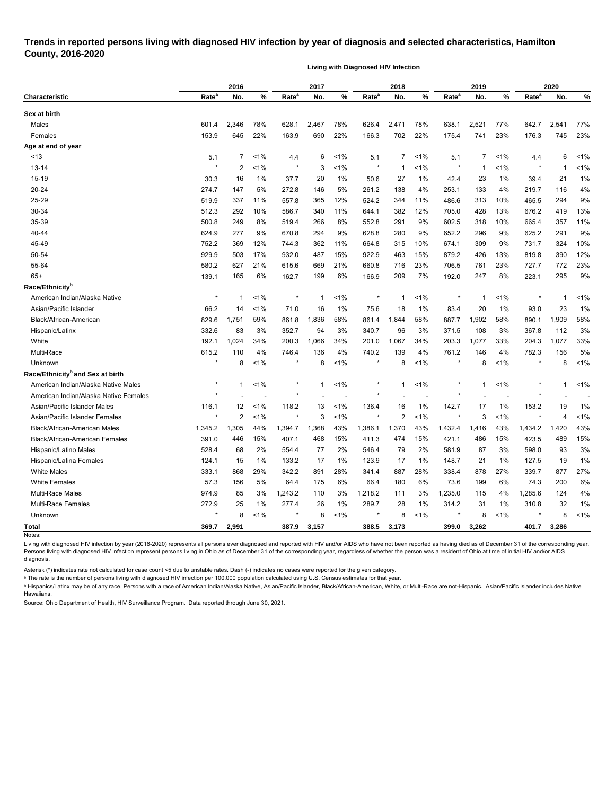## **Trends in reported persons living with diagnosed HIV infection by year of diagnosis and selected characteristics, Hamilton County, 2016-2020**

**Living with Diagnosed HIV Infection**

| Rate <sup>a</sup><br>Rate <sup>a</sup><br>Rate <sup>a</sup><br>Rate <sup>a</sup><br>Rate <sup>a</sup><br>%<br>%<br>%<br>%<br><b>Characteristic</b><br>No.<br>%<br>No.<br>No.<br>No.<br>No.<br>Sex at birth<br>77%<br>2,346<br>78%<br>78%<br>2,471<br>78%<br>2,521<br>77%<br>2,541<br>Males<br>628.1<br>2,467<br>626.4<br>642.7<br>601.4<br>638.1<br>22%<br>23%<br>Females<br>153.9<br>645<br>22%<br>690<br>22%<br>702<br>23%<br>176.3<br>745<br>163.9<br>166.3<br>175.4<br>741<br>Age at end of year<br>~13<br>5.1<br>7<br>1%<br>$1\%$<br>5.1<br>7<br>$1\%$<br>5.1<br>$\overline{7}$<br>$1\%$<br>6<br>1%<br>4.4<br>6<br>4.4<br>$\star$<br>$\overline{c}$<br>1%<br>1%<br>1%<br>1%<br>1%<br>13-14<br>$\star$<br>3<br>$\star$<br>$\star$<br>1<br>$\mathbf{1}$<br>-1<br>15-19<br>30.3<br>16<br>1%<br>37.7<br>1%<br>50.6<br>23<br>1%<br>39.4<br>1%<br>20<br>27<br>1%<br>42.4<br>21<br>4%<br>20-24<br>274.7<br>147<br>5%<br>272.8<br>253.1<br>4%<br>146<br>5%<br>261.2<br>138<br>4%<br>133<br>219.7<br>116<br>25-29<br>9%<br>519.9<br>337<br>11%<br>557.8<br>365<br>12%<br>344<br>11%<br>486.6<br>313<br>10%<br>294<br>524.2<br>465.5<br>30-34<br>13%<br>512.3<br>292<br>10%<br>11%<br>12%<br>13%<br>419<br>586.7<br>340<br>644.1<br>382<br>705.0<br>428<br>676.2<br>500.8<br>11%<br>35-39<br>249<br>8%<br>519.4<br>8%<br>552.8<br>9%<br>602.5<br>10%<br>665.4<br>357<br>266<br>291<br>318<br>9%<br>624.9<br>670.8<br>9%<br>9%<br>652.2<br>625.2<br>291<br>40-44<br>277<br>9%<br>294<br>628.8<br>280<br>9%<br>296<br>10%<br>45-49<br>369<br>12%<br>362<br>11%<br>315<br>10%<br>9%<br>324<br>752.2<br>744.3<br>664.8<br>674.1<br>309<br>731.7<br>929.9<br>12%<br>50-54<br>17%<br>932.0<br>15%<br>922.9<br>463<br>15%<br>879.2<br>819.8<br>390<br>503<br>487<br>426<br>13%<br>55-64<br>580.2<br>23%<br>23%<br>627<br>21%<br>615.6<br>669<br>21%<br>660.8<br>716<br>706.5<br>23%<br>727.7<br>772<br>761<br>9%<br>$65+$<br>139.1<br>165<br>6%<br>162.7<br>199<br>6%<br>7%<br>8%<br>223.1<br>295<br>166.9<br>209<br>192.0<br>247<br>$^\star$<br>$< 1\%$<br>1%<br>1%<br>$< 1\%$<br>1%<br>American Indian/Alaska Native<br>$\ast$<br>1<br>$\mathbf 1$<br>1<br>-1<br>1<br>75.6<br>1%<br>Asian/Pacific Islander<br>66.2<br>14<br>1%<br>71.0<br>1%<br>18<br>1%<br>83.4<br>20<br>1%<br>93.0<br>23<br>16<br>58%<br>Black/African-American<br>59%<br>58%<br>58%<br>58%<br>829.6<br>1,751<br>861.8<br>1,836<br>861.4<br>1,844<br>887.7<br>1,902<br>890.1<br>1,909<br>332.6<br>352.7<br>3%<br>83<br>3%<br>94<br>3%<br>340.7<br>96<br>3%<br>371.5<br>108<br>3%<br>367.8<br>112<br>Hispanic/Latinx<br>33%<br>White<br>192.1<br>1,024<br>34%<br>200.3<br>1,066<br>34%<br>201.0<br>1,067<br>34%<br>203.3<br>33%<br>204.3<br>1,077<br>1,077<br>Multi-Race<br>5%<br>615.2<br>110<br>4%<br>4%<br>4%<br>156<br>746.4<br>136<br>4%<br>740.2<br>139<br>761.2<br>146<br>782.3<br>1%<br>$\star$<br>8<br>1%<br>1%<br>8<br>1%<br>$< 1\%$<br>8<br>$\star$<br>8<br>$\star$<br>$\star$<br>8<br>Unknown<br>Race/Ethnicity <sup>b</sup> and Sex at birth<br>$^\star$<br>$\star$<br>American Indian/Alaska Native Males<br>1%<br>*<br>$1\%$<br>$1\%$<br>$\ast$<br>1%<br>1%<br>$\mathbf{1}$<br>$\mathbf 1$<br>1<br>1<br>1<br>$\star$<br>American Indian/Alaska Native Females<br>$\star$<br>$\star$<br>$\star$<br>1%<br>118.2<br>1%<br>1%<br>153.2<br>1%<br>Asian/Pacific Islander Males<br>116.1<br>12<br>136.4<br>16<br>142.7<br>17<br>1%<br>19<br>13<br>$\ast$<br>$\overline{2}$<br>1%<br>1%<br>$\star$<br>1%<br>$\star$<br>1%<br>1%<br>Asian/Pacific Islander Females<br>3<br>2<br>3<br>4<br>43%<br>1,305<br>44%<br>43%<br>1,370<br>43%<br>1,416<br>43%<br>1,420<br><b>Black/African-American Males</b><br>1,345.2<br>1,394.7<br>1,368<br>1,386.1<br>1,432.4<br>1,434.2<br>15%<br>391.0<br>15%<br>407.1<br>15%<br>474<br>15%<br>421.1<br>15%<br>423.5<br>489<br><b>Black/African-American Females</b><br>446<br>468<br>411.3<br>486<br>528.4<br>68<br>2%<br>554.4<br>77<br>2%<br>546.4<br>79<br>2%<br>581.9<br>87<br>3%<br>598.0<br>93<br>3%<br>Hispanic/Latino Males<br>1%<br>1%<br>21<br>1%<br>19<br>1%<br>Hispanic/Latina Females<br>124.1<br>15<br>133.2<br>17<br>$1\%$<br>17<br>127.5<br>123.9<br>148.7<br><b>White Males</b><br>333.1<br>28%<br>27%<br>868<br>29%<br>342.2<br>891<br>28%<br>341.4<br>887<br>338.4<br>878<br>27%<br>339.7<br>877<br><b>White Females</b><br>57.3<br>6%<br>156<br>5%<br>64.4<br>175<br>6%<br>66.4<br>180<br>6%<br>73.6<br>199<br>6%<br>74.3<br>200<br>Multi-Race Males<br>974.9<br>4%<br>1,243.2<br>110<br>3%<br>1,218.2<br>3%<br>1,235.0<br>1,285.6<br>124<br>85<br>3%<br>111<br>115<br>4%<br>1%<br>Multi-Race Females<br>272.9<br>25<br>1%<br>$1\%$<br>28<br>1%<br>314.2<br>31<br>1%<br>32<br>277.4<br>26<br>289.7<br>310.8<br>$\star$<br>$\star$<br>$\star$<br>$\star$<br>$\star$<br>8<br>8<br>1%<br>8<br>1%<br>8<br>$< 1\%$<br>Unknown<br>$1\%$<br>$1\%$<br>8<br>369.7<br>2,991<br>387.9<br>3,157<br>388.5<br>3,173<br>399.0<br>3,262<br>401.7<br>3,286<br>Notes: |                             | 2016 |  |  | 2017 |  | 2018 |  |  | 2019 |  |  | 2020 |  |  |
|---------------------------------------------------------------------------------------------------------------------------------------------------------------------------------------------------------------------------------------------------------------------------------------------------------------------------------------------------------------------------------------------------------------------------------------------------------------------------------------------------------------------------------------------------------------------------------------------------------------------------------------------------------------------------------------------------------------------------------------------------------------------------------------------------------------------------------------------------------------------------------------------------------------------------------------------------------------------------------------------------------------------------------------------------------------------------------------------------------------------------------------------------------------------------------------------------------------------------------------------------------------------------------------------------------------------------------------------------------------------------------------------------------------------------------------------------------------------------------------------------------------------------------------------------------------------------------------------------------------------------------------------------------------------------------------------------------------------------------------------------------------------------------------------------------------------------------------------------------------------------------------------------------------------------------------------------------------------------------------------------------------------------------------------------------------------------------------------------------------------------------------------------------------------------------------------------------------------------------------------------------------------------------------------------------------------------------------------------------------------------------------------------------------------------------------------------------------------------------------------------------------------------------------------------------------------------------------------------------------------------------------------------------------------------------------------------------------------------------------------------------------------------------------------------------------------------------------------------------------------------------------------------------------------------------------------------------------------------------------------------------------------------------------------------------------------------------------------------------------------------------------------------------------------------------------------------------------------------------------------------------------------------------------------------------------------------------------------------------------------------------------------------------------------------------------------------------------------------------------------------------------------------------------------------------------------------------------------------------------------------------------------------------------------------------------------------------------------------------------------------------------------------------------------------------------------------------------------------------------------------------------------------------------------------------------------------------------------------------------------------------------------------------------------------------------------------------------------------------------------------------------------------------------------------------------------------------------------------------------------------------------------------------------------------------------------------------------------------------------------------------------------------------------------------------------------------------------------------------------------------------------------------------------------------------------------------------------------------------------------------------------------------------------------------------------------------------------------------------------------------------------------------------------------------------------------------------------------------------------------------------------------------------------------------------------------------------------------|-----------------------------|------|--|--|------|--|------|--|--|------|--|--|------|--|--|
|                                                                                                                                                                                                                                                                                                                                                                                                                                                                                                                                                                                                                                                                                                                                                                                                                                                                                                                                                                                                                                                                                                                                                                                                                                                                                                                                                                                                                                                                                                                                                                                                                                                                                                                                                                                                                                                                                                                                                                                                                                                                                                                                                                                                                                                                                                                                                                                                                                                                                                                                                                                                                                                                                                                                                                                                                                                                                                                                                                                                                                                                                                                                                                                                                                                                                                                                                                                                                                                                                                                                                                                                                                                                                                                                                                                                                                                                                                                                                                                                                                                                                                                                                                                                                                                                                                                                                                                                                                                                                                                                                                                                                                                                                                                                                                                                                                                                                                                                                                     |                             |      |  |  |      |  |      |  |  |      |  |  |      |  |  |
|                                                                                                                                                                                                                                                                                                                                                                                                                                                                                                                                                                                                                                                                                                                                                                                                                                                                                                                                                                                                                                                                                                                                                                                                                                                                                                                                                                                                                                                                                                                                                                                                                                                                                                                                                                                                                                                                                                                                                                                                                                                                                                                                                                                                                                                                                                                                                                                                                                                                                                                                                                                                                                                                                                                                                                                                                                                                                                                                                                                                                                                                                                                                                                                                                                                                                                                                                                                                                                                                                                                                                                                                                                                                                                                                                                                                                                                                                                                                                                                                                                                                                                                                                                                                                                                                                                                                                                                                                                                                                                                                                                                                                                                                                                                                                                                                                                                                                                                                                                     |                             |      |  |  |      |  |      |  |  |      |  |  |      |  |  |
|                                                                                                                                                                                                                                                                                                                                                                                                                                                                                                                                                                                                                                                                                                                                                                                                                                                                                                                                                                                                                                                                                                                                                                                                                                                                                                                                                                                                                                                                                                                                                                                                                                                                                                                                                                                                                                                                                                                                                                                                                                                                                                                                                                                                                                                                                                                                                                                                                                                                                                                                                                                                                                                                                                                                                                                                                                                                                                                                                                                                                                                                                                                                                                                                                                                                                                                                                                                                                                                                                                                                                                                                                                                                                                                                                                                                                                                                                                                                                                                                                                                                                                                                                                                                                                                                                                                                                                                                                                                                                                                                                                                                                                                                                                                                                                                                                                                                                                                                                                     |                             |      |  |  |      |  |      |  |  |      |  |  |      |  |  |
|                                                                                                                                                                                                                                                                                                                                                                                                                                                                                                                                                                                                                                                                                                                                                                                                                                                                                                                                                                                                                                                                                                                                                                                                                                                                                                                                                                                                                                                                                                                                                                                                                                                                                                                                                                                                                                                                                                                                                                                                                                                                                                                                                                                                                                                                                                                                                                                                                                                                                                                                                                                                                                                                                                                                                                                                                                                                                                                                                                                                                                                                                                                                                                                                                                                                                                                                                                                                                                                                                                                                                                                                                                                                                                                                                                                                                                                                                                                                                                                                                                                                                                                                                                                                                                                                                                                                                                                                                                                                                                                                                                                                                                                                                                                                                                                                                                                                                                                                                                     |                             |      |  |  |      |  |      |  |  |      |  |  |      |  |  |
|                                                                                                                                                                                                                                                                                                                                                                                                                                                                                                                                                                                                                                                                                                                                                                                                                                                                                                                                                                                                                                                                                                                                                                                                                                                                                                                                                                                                                                                                                                                                                                                                                                                                                                                                                                                                                                                                                                                                                                                                                                                                                                                                                                                                                                                                                                                                                                                                                                                                                                                                                                                                                                                                                                                                                                                                                                                                                                                                                                                                                                                                                                                                                                                                                                                                                                                                                                                                                                                                                                                                                                                                                                                                                                                                                                                                                                                                                                                                                                                                                                                                                                                                                                                                                                                                                                                                                                                                                                                                                                                                                                                                                                                                                                                                                                                                                                                                                                                                                                     |                             |      |  |  |      |  |      |  |  |      |  |  |      |  |  |
|                                                                                                                                                                                                                                                                                                                                                                                                                                                                                                                                                                                                                                                                                                                                                                                                                                                                                                                                                                                                                                                                                                                                                                                                                                                                                                                                                                                                                                                                                                                                                                                                                                                                                                                                                                                                                                                                                                                                                                                                                                                                                                                                                                                                                                                                                                                                                                                                                                                                                                                                                                                                                                                                                                                                                                                                                                                                                                                                                                                                                                                                                                                                                                                                                                                                                                                                                                                                                                                                                                                                                                                                                                                                                                                                                                                                                                                                                                                                                                                                                                                                                                                                                                                                                                                                                                                                                                                                                                                                                                                                                                                                                                                                                                                                                                                                                                                                                                                                                                     |                             |      |  |  |      |  |      |  |  |      |  |  |      |  |  |
|                                                                                                                                                                                                                                                                                                                                                                                                                                                                                                                                                                                                                                                                                                                                                                                                                                                                                                                                                                                                                                                                                                                                                                                                                                                                                                                                                                                                                                                                                                                                                                                                                                                                                                                                                                                                                                                                                                                                                                                                                                                                                                                                                                                                                                                                                                                                                                                                                                                                                                                                                                                                                                                                                                                                                                                                                                                                                                                                                                                                                                                                                                                                                                                                                                                                                                                                                                                                                                                                                                                                                                                                                                                                                                                                                                                                                                                                                                                                                                                                                                                                                                                                                                                                                                                                                                                                                                                                                                                                                                                                                                                                                                                                                                                                                                                                                                                                                                                                                                     |                             |      |  |  |      |  |      |  |  |      |  |  |      |  |  |
|                                                                                                                                                                                                                                                                                                                                                                                                                                                                                                                                                                                                                                                                                                                                                                                                                                                                                                                                                                                                                                                                                                                                                                                                                                                                                                                                                                                                                                                                                                                                                                                                                                                                                                                                                                                                                                                                                                                                                                                                                                                                                                                                                                                                                                                                                                                                                                                                                                                                                                                                                                                                                                                                                                                                                                                                                                                                                                                                                                                                                                                                                                                                                                                                                                                                                                                                                                                                                                                                                                                                                                                                                                                                                                                                                                                                                                                                                                                                                                                                                                                                                                                                                                                                                                                                                                                                                                                                                                                                                                                                                                                                                                                                                                                                                                                                                                                                                                                                                                     |                             |      |  |  |      |  |      |  |  |      |  |  |      |  |  |
|                                                                                                                                                                                                                                                                                                                                                                                                                                                                                                                                                                                                                                                                                                                                                                                                                                                                                                                                                                                                                                                                                                                                                                                                                                                                                                                                                                                                                                                                                                                                                                                                                                                                                                                                                                                                                                                                                                                                                                                                                                                                                                                                                                                                                                                                                                                                                                                                                                                                                                                                                                                                                                                                                                                                                                                                                                                                                                                                                                                                                                                                                                                                                                                                                                                                                                                                                                                                                                                                                                                                                                                                                                                                                                                                                                                                                                                                                                                                                                                                                                                                                                                                                                                                                                                                                                                                                                                                                                                                                                                                                                                                                                                                                                                                                                                                                                                                                                                                                                     |                             |      |  |  |      |  |      |  |  |      |  |  |      |  |  |
|                                                                                                                                                                                                                                                                                                                                                                                                                                                                                                                                                                                                                                                                                                                                                                                                                                                                                                                                                                                                                                                                                                                                                                                                                                                                                                                                                                                                                                                                                                                                                                                                                                                                                                                                                                                                                                                                                                                                                                                                                                                                                                                                                                                                                                                                                                                                                                                                                                                                                                                                                                                                                                                                                                                                                                                                                                                                                                                                                                                                                                                                                                                                                                                                                                                                                                                                                                                                                                                                                                                                                                                                                                                                                                                                                                                                                                                                                                                                                                                                                                                                                                                                                                                                                                                                                                                                                                                                                                                                                                                                                                                                                                                                                                                                                                                                                                                                                                                                                                     |                             |      |  |  |      |  |      |  |  |      |  |  |      |  |  |
|                                                                                                                                                                                                                                                                                                                                                                                                                                                                                                                                                                                                                                                                                                                                                                                                                                                                                                                                                                                                                                                                                                                                                                                                                                                                                                                                                                                                                                                                                                                                                                                                                                                                                                                                                                                                                                                                                                                                                                                                                                                                                                                                                                                                                                                                                                                                                                                                                                                                                                                                                                                                                                                                                                                                                                                                                                                                                                                                                                                                                                                                                                                                                                                                                                                                                                                                                                                                                                                                                                                                                                                                                                                                                                                                                                                                                                                                                                                                                                                                                                                                                                                                                                                                                                                                                                                                                                                                                                                                                                                                                                                                                                                                                                                                                                                                                                                                                                                                                                     |                             |      |  |  |      |  |      |  |  |      |  |  |      |  |  |
|                                                                                                                                                                                                                                                                                                                                                                                                                                                                                                                                                                                                                                                                                                                                                                                                                                                                                                                                                                                                                                                                                                                                                                                                                                                                                                                                                                                                                                                                                                                                                                                                                                                                                                                                                                                                                                                                                                                                                                                                                                                                                                                                                                                                                                                                                                                                                                                                                                                                                                                                                                                                                                                                                                                                                                                                                                                                                                                                                                                                                                                                                                                                                                                                                                                                                                                                                                                                                                                                                                                                                                                                                                                                                                                                                                                                                                                                                                                                                                                                                                                                                                                                                                                                                                                                                                                                                                                                                                                                                                                                                                                                                                                                                                                                                                                                                                                                                                                                                                     |                             |      |  |  |      |  |      |  |  |      |  |  |      |  |  |
|                                                                                                                                                                                                                                                                                                                                                                                                                                                                                                                                                                                                                                                                                                                                                                                                                                                                                                                                                                                                                                                                                                                                                                                                                                                                                                                                                                                                                                                                                                                                                                                                                                                                                                                                                                                                                                                                                                                                                                                                                                                                                                                                                                                                                                                                                                                                                                                                                                                                                                                                                                                                                                                                                                                                                                                                                                                                                                                                                                                                                                                                                                                                                                                                                                                                                                                                                                                                                                                                                                                                                                                                                                                                                                                                                                                                                                                                                                                                                                                                                                                                                                                                                                                                                                                                                                                                                                                                                                                                                                                                                                                                                                                                                                                                                                                                                                                                                                                                                                     |                             |      |  |  |      |  |      |  |  |      |  |  |      |  |  |
|                                                                                                                                                                                                                                                                                                                                                                                                                                                                                                                                                                                                                                                                                                                                                                                                                                                                                                                                                                                                                                                                                                                                                                                                                                                                                                                                                                                                                                                                                                                                                                                                                                                                                                                                                                                                                                                                                                                                                                                                                                                                                                                                                                                                                                                                                                                                                                                                                                                                                                                                                                                                                                                                                                                                                                                                                                                                                                                                                                                                                                                                                                                                                                                                                                                                                                                                                                                                                                                                                                                                                                                                                                                                                                                                                                                                                                                                                                                                                                                                                                                                                                                                                                                                                                                                                                                                                                                                                                                                                                                                                                                                                                                                                                                                                                                                                                                                                                                                                                     |                             |      |  |  |      |  |      |  |  |      |  |  |      |  |  |
|                                                                                                                                                                                                                                                                                                                                                                                                                                                                                                                                                                                                                                                                                                                                                                                                                                                                                                                                                                                                                                                                                                                                                                                                                                                                                                                                                                                                                                                                                                                                                                                                                                                                                                                                                                                                                                                                                                                                                                                                                                                                                                                                                                                                                                                                                                                                                                                                                                                                                                                                                                                                                                                                                                                                                                                                                                                                                                                                                                                                                                                                                                                                                                                                                                                                                                                                                                                                                                                                                                                                                                                                                                                                                                                                                                                                                                                                                                                                                                                                                                                                                                                                                                                                                                                                                                                                                                                                                                                                                                                                                                                                                                                                                                                                                                                                                                                                                                                                                                     |                             |      |  |  |      |  |      |  |  |      |  |  |      |  |  |
|                                                                                                                                                                                                                                                                                                                                                                                                                                                                                                                                                                                                                                                                                                                                                                                                                                                                                                                                                                                                                                                                                                                                                                                                                                                                                                                                                                                                                                                                                                                                                                                                                                                                                                                                                                                                                                                                                                                                                                                                                                                                                                                                                                                                                                                                                                                                                                                                                                                                                                                                                                                                                                                                                                                                                                                                                                                                                                                                                                                                                                                                                                                                                                                                                                                                                                                                                                                                                                                                                                                                                                                                                                                                                                                                                                                                                                                                                                                                                                                                                                                                                                                                                                                                                                                                                                                                                                                                                                                                                                                                                                                                                                                                                                                                                                                                                                                                                                                                                                     |                             |      |  |  |      |  |      |  |  |      |  |  |      |  |  |
|                                                                                                                                                                                                                                                                                                                                                                                                                                                                                                                                                                                                                                                                                                                                                                                                                                                                                                                                                                                                                                                                                                                                                                                                                                                                                                                                                                                                                                                                                                                                                                                                                                                                                                                                                                                                                                                                                                                                                                                                                                                                                                                                                                                                                                                                                                                                                                                                                                                                                                                                                                                                                                                                                                                                                                                                                                                                                                                                                                                                                                                                                                                                                                                                                                                                                                                                                                                                                                                                                                                                                                                                                                                                                                                                                                                                                                                                                                                                                                                                                                                                                                                                                                                                                                                                                                                                                                                                                                                                                                                                                                                                                                                                                                                                                                                                                                                                                                                                                                     |                             |      |  |  |      |  |      |  |  |      |  |  |      |  |  |
|                                                                                                                                                                                                                                                                                                                                                                                                                                                                                                                                                                                                                                                                                                                                                                                                                                                                                                                                                                                                                                                                                                                                                                                                                                                                                                                                                                                                                                                                                                                                                                                                                                                                                                                                                                                                                                                                                                                                                                                                                                                                                                                                                                                                                                                                                                                                                                                                                                                                                                                                                                                                                                                                                                                                                                                                                                                                                                                                                                                                                                                                                                                                                                                                                                                                                                                                                                                                                                                                                                                                                                                                                                                                                                                                                                                                                                                                                                                                                                                                                                                                                                                                                                                                                                                                                                                                                                                                                                                                                                                                                                                                                                                                                                                                                                                                                                                                                                                                                                     | Race/Ethnicity <sup>b</sup> |      |  |  |      |  |      |  |  |      |  |  |      |  |  |
|                                                                                                                                                                                                                                                                                                                                                                                                                                                                                                                                                                                                                                                                                                                                                                                                                                                                                                                                                                                                                                                                                                                                                                                                                                                                                                                                                                                                                                                                                                                                                                                                                                                                                                                                                                                                                                                                                                                                                                                                                                                                                                                                                                                                                                                                                                                                                                                                                                                                                                                                                                                                                                                                                                                                                                                                                                                                                                                                                                                                                                                                                                                                                                                                                                                                                                                                                                                                                                                                                                                                                                                                                                                                                                                                                                                                                                                                                                                                                                                                                                                                                                                                                                                                                                                                                                                                                                                                                                                                                                                                                                                                                                                                                                                                                                                                                                                                                                                                                                     |                             |      |  |  |      |  |      |  |  |      |  |  |      |  |  |
|                                                                                                                                                                                                                                                                                                                                                                                                                                                                                                                                                                                                                                                                                                                                                                                                                                                                                                                                                                                                                                                                                                                                                                                                                                                                                                                                                                                                                                                                                                                                                                                                                                                                                                                                                                                                                                                                                                                                                                                                                                                                                                                                                                                                                                                                                                                                                                                                                                                                                                                                                                                                                                                                                                                                                                                                                                                                                                                                                                                                                                                                                                                                                                                                                                                                                                                                                                                                                                                                                                                                                                                                                                                                                                                                                                                                                                                                                                                                                                                                                                                                                                                                                                                                                                                                                                                                                                                                                                                                                                                                                                                                                                                                                                                                                                                                                                                                                                                                                                     |                             |      |  |  |      |  |      |  |  |      |  |  |      |  |  |
|                                                                                                                                                                                                                                                                                                                                                                                                                                                                                                                                                                                                                                                                                                                                                                                                                                                                                                                                                                                                                                                                                                                                                                                                                                                                                                                                                                                                                                                                                                                                                                                                                                                                                                                                                                                                                                                                                                                                                                                                                                                                                                                                                                                                                                                                                                                                                                                                                                                                                                                                                                                                                                                                                                                                                                                                                                                                                                                                                                                                                                                                                                                                                                                                                                                                                                                                                                                                                                                                                                                                                                                                                                                                                                                                                                                                                                                                                                                                                                                                                                                                                                                                                                                                                                                                                                                                                                                                                                                                                                                                                                                                                                                                                                                                                                                                                                                                                                                                                                     |                             |      |  |  |      |  |      |  |  |      |  |  |      |  |  |
|                                                                                                                                                                                                                                                                                                                                                                                                                                                                                                                                                                                                                                                                                                                                                                                                                                                                                                                                                                                                                                                                                                                                                                                                                                                                                                                                                                                                                                                                                                                                                                                                                                                                                                                                                                                                                                                                                                                                                                                                                                                                                                                                                                                                                                                                                                                                                                                                                                                                                                                                                                                                                                                                                                                                                                                                                                                                                                                                                                                                                                                                                                                                                                                                                                                                                                                                                                                                                                                                                                                                                                                                                                                                                                                                                                                                                                                                                                                                                                                                                                                                                                                                                                                                                                                                                                                                                                                                                                                                                                                                                                                                                                                                                                                                                                                                                                                                                                                                                                     |                             |      |  |  |      |  |      |  |  |      |  |  |      |  |  |
|                                                                                                                                                                                                                                                                                                                                                                                                                                                                                                                                                                                                                                                                                                                                                                                                                                                                                                                                                                                                                                                                                                                                                                                                                                                                                                                                                                                                                                                                                                                                                                                                                                                                                                                                                                                                                                                                                                                                                                                                                                                                                                                                                                                                                                                                                                                                                                                                                                                                                                                                                                                                                                                                                                                                                                                                                                                                                                                                                                                                                                                                                                                                                                                                                                                                                                                                                                                                                                                                                                                                                                                                                                                                                                                                                                                                                                                                                                                                                                                                                                                                                                                                                                                                                                                                                                                                                                                                                                                                                                                                                                                                                                                                                                                                                                                                                                                                                                                                                                     |                             |      |  |  |      |  |      |  |  |      |  |  |      |  |  |
|                                                                                                                                                                                                                                                                                                                                                                                                                                                                                                                                                                                                                                                                                                                                                                                                                                                                                                                                                                                                                                                                                                                                                                                                                                                                                                                                                                                                                                                                                                                                                                                                                                                                                                                                                                                                                                                                                                                                                                                                                                                                                                                                                                                                                                                                                                                                                                                                                                                                                                                                                                                                                                                                                                                                                                                                                                                                                                                                                                                                                                                                                                                                                                                                                                                                                                                                                                                                                                                                                                                                                                                                                                                                                                                                                                                                                                                                                                                                                                                                                                                                                                                                                                                                                                                                                                                                                                                                                                                                                                                                                                                                                                                                                                                                                                                                                                                                                                                                                                     |                             |      |  |  |      |  |      |  |  |      |  |  |      |  |  |
|                                                                                                                                                                                                                                                                                                                                                                                                                                                                                                                                                                                                                                                                                                                                                                                                                                                                                                                                                                                                                                                                                                                                                                                                                                                                                                                                                                                                                                                                                                                                                                                                                                                                                                                                                                                                                                                                                                                                                                                                                                                                                                                                                                                                                                                                                                                                                                                                                                                                                                                                                                                                                                                                                                                                                                                                                                                                                                                                                                                                                                                                                                                                                                                                                                                                                                                                                                                                                                                                                                                                                                                                                                                                                                                                                                                                                                                                                                                                                                                                                                                                                                                                                                                                                                                                                                                                                                                                                                                                                                                                                                                                                                                                                                                                                                                                                                                                                                                                                                     |                             |      |  |  |      |  |      |  |  |      |  |  |      |  |  |
|                                                                                                                                                                                                                                                                                                                                                                                                                                                                                                                                                                                                                                                                                                                                                                                                                                                                                                                                                                                                                                                                                                                                                                                                                                                                                                                                                                                                                                                                                                                                                                                                                                                                                                                                                                                                                                                                                                                                                                                                                                                                                                                                                                                                                                                                                                                                                                                                                                                                                                                                                                                                                                                                                                                                                                                                                                                                                                                                                                                                                                                                                                                                                                                                                                                                                                                                                                                                                                                                                                                                                                                                                                                                                                                                                                                                                                                                                                                                                                                                                                                                                                                                                                                                                                                                                                                                                                                                                                                                                                                                                                                                                                                                                                                                                                                                                                                                                                                                                                     |                             |      |  |  |      |  |      |  |  |      |  |  |      |  |  |
|                                                                                                                                                                                                                                                                                                                                                                                                                                                                                                                                                                                                                                                                                                                                                                                                                                                                                                                                                                                                                                                                                                                                                                                                                                                                                                                                                                                                                                                                                                                                                                                                                                                                                                                                                                                                                                                                                                                                                                                                                                                                                                                                                                                                                                                                                                                                                                                                                                                                                                                                                                                                                                                                                                                                                                                                                                                                                                                                                                                                                                                                                                                                                                                                                                                                                                                                                                                                                                                                                                                                                                                                                                                                                                                                                                                                                                                                                                                                                                                                                                                                                                                                                                                                                                                                                                                                                                                                                                                                                                                                                                                                                                                                                                                                                                                                                                                                                                                                                                     |                             |      |  |  |      |  |      |  |  |      |  |  |      |  |  |
|                                                                                                                                                                                                                                                                                                                                                                                                                                                                                                                                                                                                                                                                                                                                                                                                                                                                                                                                                                                                                                                                                                                                                                                                                                                                                                                                                                                                                                                                                                                                                                                                                                                                                                                                                                                                                                                                                                                                                                                                                                                                                                                                                                                                                                                                                                                                                                                                                                                                                                                                                                                                                                                                                                                                                                                                                                                                                                                                                                                                                                                                                                                                                                                                                                                                                                                                                                                                                                                                                                                                                                                                                                                                                                                                                                                                                                                                                                                                                                                                                                                                                                                                                                                                                                                                                                                                                                                                                                                                                                                                                                                                                                                                                                                                                                                                                                                                                                                                                                     |                             |      |  |  |      |  |      |  |  |      |  |  |      |  |  |
|                                                                                                                                                                                                                                                                                                                                                                                                                                                                                                                                                                                                                                                                                                                                                                                                                                                                                                                                                                                                                                                                                                                                                                                                                                                                                                                                                                                                                                                                                                                                                                                                                                                                                                                                                                                                                                                                                                                                                                                                                                                                                                                                                                                                                                                                                                                                                                                                                                                                                                                                                                                                                                                                                                                                                                                                                                                                                                                                                                                                                                                                                                                                                                                                                                                                                                                                                                                                                                                                                                                                                                                                                                                                                                                                                                                                                                                                                                                                                                                                                                                                                                                                                                                                                                                                                                                                                                                                                                                                                                                                                                                                                                                                                                                                                                                                                                                                                                                                                                     |                             |      |  |  |      |  |      |  |  |      |  |  |      |  |  |
|                                                                                                                                                                                                                                                                                                                                                                                                                                                                                                                                                                                                                                                                                                                                                                                                                                                                                                                                                                                                                                                                                                                                                                                                                                                                                                                                                                                                                                                                                                                                                                                                                                                                                                                                                                                                                                                                                                                                                                                                                                                                                                                                                                                                                                                                                                                                                                                                                                                                                                                                                                                                                                                                                                                                                                                                                                                                                                                                                                                                                                                                                                                                                                                                                                                                                                                                                                                                                                                                                                                                                                                                                                                                                                                                                                                                                                                                                                                                                                                                                                                                                                                                                                                                                                                                                                                                                                                                                                                                                                                                                                                                                                                                                                                                                                                                                                                                                                                                                                     |                             |      |  |  |      |  |      |  |  |      |  |  |      |  |  |
|                                                                                                                                                                                                                                                                                                                                                                                                                                                                                                                                                                                                                                                                                                                                                                                                                                                                                                                                                                                                                                                                                                                                                                                                                                                                                                                                                                                                                                                                                                                                                                                                                                                                                                                                                                                                                                                                                                                                                                                                                                                                                                                                                                                                                                                                                                                                                                                                                                                                                                                                                                                                                                                                                                                                                                                                                                                                                                                                                                                                                                                                                                                                                                                                                                                                                                                                                                                                                                                                                                                                                                                                                                                                                                                                                                                                                                                                                                                                                                                                                                                                                                                                                                                                                                                                                                                                                                                                                                                                                                                                                                                                                                                                                                                                                                                                                                                                                                                                                                     |                             |      |  |  |      |  |      |  |  |      |  |  |      |  |  |
|                                                                                                                                                                                                                                                                                                                                                                                                                                                                                                                                                                                                                                                                                                                                                                                                                                                                                                                                                                                                                                                                                                                                                                                                                                                                                                                                                                                                                                                                                                                                                                                                                                                                                                                                                                                                                                                                                                                                                                                                                                                                                                                                                                                                                                                                                                                                                                                                                                                                                                                                                                                                                                                                                                                                                                                                                                                                                                                                                                                                                                                                                                                                                                                                                                                                                                                                                                                                                                                                                                                                                                                                                                                                                                                                                                                                                                                                                                                                                                                                                                                                                                                                                                                                                                                                                                                                                                                                                                                                                                                                                                                                                                                                                                                                                                                                                                                                                                                                                                     |                             |      |  |  |      |  |      |  |  |      |  |  |      |  |  |
|                                                                                                                                                                                                                                                                                                                                                                                                                                                                                                                                                                                                                                                                                                                                                                                                                                                                                                                                                                                                                                                                                                                                                                                                                                                                                                                                                                                                                                                                                                                                                                                                                                                                                                                                                                                                                                                                                                                                                                                                                                                                                                                                                                                                                                                                                                                                                                                                                                                                                                                                                                                                                                                                                                                                                                                                                                                                                                                                                                                                                                                                                                                                                                                                                                                                                                                                                                                                                                                                                                                                                                                                                                                                                                                                                                                                                                                                                                                                                                                                                                                                                                                                                                                                                                                                                                                                                                                                                                                                                                                                                                                                                                                                                                                                                                                                                                                                                                                                                                     |                             |      |  |  |      |  |      |  |  |      |  |  |      |  |  |
|                                                                                                                                                                                                                                                                                                                                                                                                                                                                                                                                                                                                                                                                                                                                                                                                                                                                                                                                                                                                                                                                                                                                                                                                                                                                                                                                                                                                                                                                                                                                                                                                                                                                                                                                                                                                                                                                                                                                                                                                                                                                                                                                                                                                                                                                                                                                                                                                                                                                                                                                                                                                                                                                                                                                                                                                                                                                                                                                                                                                                                                                                                                                                                                                                                                                                                                                                                                                                                                                                                                                                                                                                                                                                                                                                                                                                                                                                                                                                                                                                                                                                                                                                                                                                                                                                                                                                                                                                                                                                                                                                                                                                                                                                                                                                                                                                                                                                                                                                                     |                             |      |  |  |      |  |      |  |  |      |  |  |      |  |  |
|                                                                                                                                                                                                                                                                                                                                                                                                                                                                                                                                                                                                                                                                                                                                                                                                                                                                                                                                                                                                                                                                                                                                                                                                                                                                                                                                                                                                                                                                                                                                                                                                                                                                                                                                                                                                                                                                                                                                                                                                                                                                                                                                                                                                                                                                                                                                                                                                                                                                                                                                                                                                                                                                                                                                                                                                                                                                                                                                                                                                                                                                                                                                                                                                                                                                                                                                                                                                                                                                                                                                                                                                                                                                                                                                                                                                                                                                                                                                                                                                                                                                                                                                                                                                                                                                                                                                                                                                                                                                                                                                                                                                                                                                                                                                                                                                                                                                                                                                                                     |                             |      |  |  |      |  |      |  |  |      |  |  |      |  |  |
|                                                                                                                                                                                                                                                                                                                                                                                                                                                                                                                                                                                                                                                                                                                                                                                                                                                                                                                                                                                                                                                                                                                                                                                                                                                                                                                                                                                                                                                                                                                                                                                                                                                                                                                                                                                                                                                                                                                                                                                                                                                                                                                                                                                                                                                                                                                                                                                                                                                                                                                                                                                                                                                                                                                                                                                                                                                                                                                                                                                                                                                                                                                                                                                                                                                                                                                                                                                                                                                                                                                                                                                                                                                                                                                                                                                                                                                                                                                                                                                                                                                                                                                                                                                                                                                                                                                                                                                                                                                                                                                                                                                                                                                                                                                                                                                                                                                                                                                                                                     |                             |      |  |  |      |  |      |  |  |      |  |  |      |  |  |
|                                                                                                                                                                                                                                                                                                                                                                                                                                                                                                                                                                                                                                                                                                                                                                                                                                                                                                                                                                                                                                                                                                                                                                                                                                                                                                                                                                                                                                                                                                                                                                                                                                                                                                                                                                                                                                                                                                                                                                                                                                                                                                                                                                                                                                                                                                                                                                                                                                                                                                                                                                                                                                                                                                                                                                                                                                                                                                                                                                                                                                                                                                                                                                                                                                                                                                                                                                                                                                                                                                                                                                                                                                                                                                                                                                                                                                                                                                                                                                                                                                                                                                                                                                                                                                                                                                                                                                                                                                                                                                                                                                                                                                                                                                                                                                                                                                                                                                                                                                     |                             |      |  |  |      |  |      |  |  |      |  |  |      |  |  |
|                                                                                                                                                                                                                                                                                                                                                                                                                                                                                                                                                                                                                                                                                                                                                                                                                                                                                                                                                                                                                                                                                                                                                                                                                                                                                                                                                                                                                                                                                                                                                                                                                                                                                                                                                                                                                                                                                                                                                                                                                                                                                                                                                                                                                                                                                                                                                                                                                                                                                                                                                                                                                                                                                                                                                                                                                                                                                                                                                                                                                                                                                                                                                                                                                                                                                                                                                                                                                                                                                                                                                                                                                                                                                                                                                                                                                                                                                                                                                                                                                                                                                                                                                                                                                                                                                                                                                                                                                                                                                                                                                                                                                                                                                                                                                                                                                                                                                                                                                                     |                             |      |  |  |      |  |      |  |  |      |  |  |      |  |  |
|                                                                                                                                                                                                                                                                                                                                                                                                                                                                                                                                                                                                                                                                                                                                                                                                                                                                                                                                                                                                                                                                                                                                                                                                                                                                                                                                                                                                                                                                                                                                                                                                                                                                                                                                                                                                                                                                                                                                                                                                                                                                                                                                                                                                                                                                                                                                                                                                                                                                                                                                                                                                                                                                                                                                                                                                                                                                                                                                                                                                                                                                                                                                                                                                                                                                                                                                                                                                                                                                                                                                                                                                                                                                                                                                                                                                                                                                                                                                                                                                                                                                                                                                                                                                                                                                                                                                                                                                                                                                                                                                                                                                                                                                                                                                                                                                                                                                                                                                                                     |                             |      |  |  |      |  |      |  |  |      |  |  |      |  |  |
|                                                                                                                                                                                                                                                                                                                                                                                                                                                                                                                                                                                                                                                                                                                                                                                                                                                                                                                                                                                                                                                                                                                                                                                                                                                                                                                                                                                                                                                                                                                                                                                                                                                                                                                                                                                                                                                                                                                                                                                                                                                                                                                                                                                                                                                                                                                                                                                                                                                                                                                                                                                                                                                                                                                                                                                                                                                                                                                                                                                                                                                                                                                                                                                                                                                                                                                                                                                                                                                                                                                                                                                                                                                                                                                                                                                                                                                                                                                                                                                                                                                                                                                                                                                                                                                                                                                                                                                                                                                                                                                                                                                                                                                                                                                                                                                                                                                                                                                                                                     | <b>Total</b>                |      |  |  |      |  |      |  |  |      |  |  |      |  |  |

Living with diagnosed HIV infection by year (2016-2020) represents all persons ever diagnosed and reported with HIV and/or AIDS who have not been reported as having died as of December 31 of the corresponding year. Persons living with diagnosed HIV infection represent persons living in Ohio as of December 31 of the corresponding year, regardless of whether the person was a resident of Ohio at time of initial HIV and/or AIDS diagnosis.

Asterisk (\*) indicates rate not calculated for case count <5 due to unstable rates. Dash (-) indicates no cases were reported for the given category.

<sup>a</sup> The rate is the number of persons living with diagnosed HIV infection per 100,000 population calculated using U.S. Census estimates for that year.

ᵇ Hispanics/Latinx may be of any race. Persons with a race of American Indian/Alaska Native, Asian/Pacific Islander, Black/African-American, White, or Multi-Race are not-Hispanic. Asian/Pacific Islander includes Native Hawaiians.